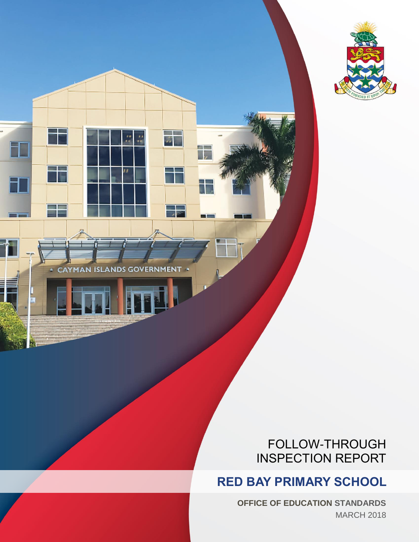

CAYMAN ISLANDS GOVERNMENT

 $\overline{u}$ 

--

 $\frac{1}{\sqrt{2}}$ 

**BIE** 

# FOLLOW-THROUGH INSPECTION REPORT

# **RED BAY PRIMARY SCHOOL**

**OFFICE OF EDUCATION STANDARDS** MARCH 2018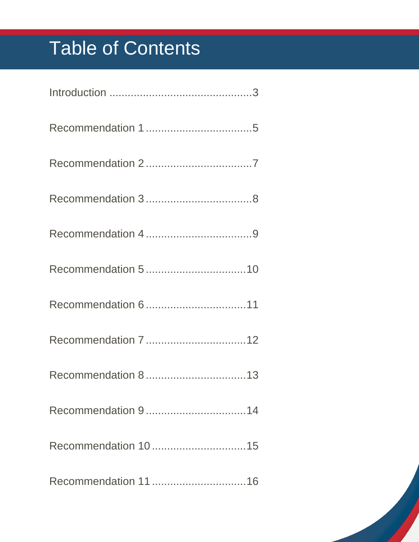# Table of Contents

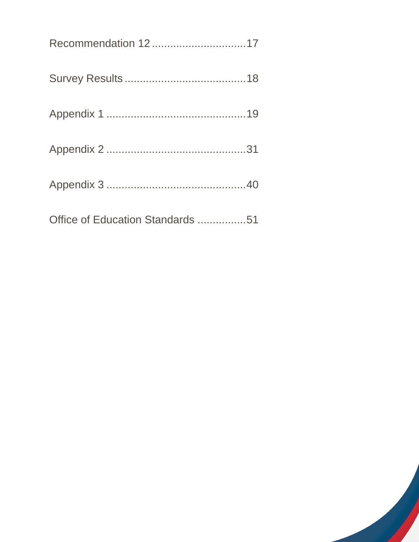| Recommendation 1217              |  |
|----------------------------------|--|
|                                  |  |
|                                  |  |
|                                  |  |
|                                  |  |
| Office of Education Standards 51 |  |

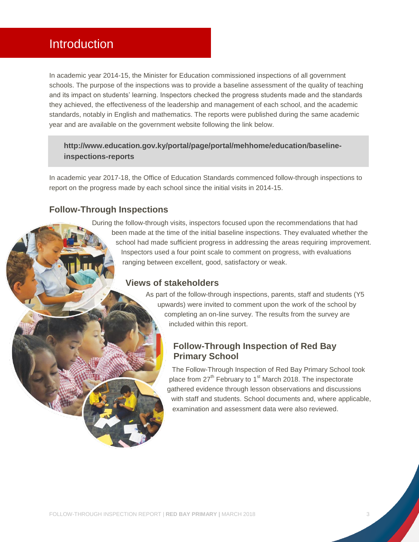### <span id="page-3-0"></span>Introduction

In academic year 2014-15, the Minister for Education commissioned inspections of all government schools. The purpose of the inspections was to provide a baseline assessment of the quality of teaching and its impact on students' learning. Inspectors checked the progress students made and the standards they achieved, the effectiveness of the leadership and management of each school, and the academic standards, notably in English and mathematics. The reports were published during the same academic year and are available on the government website following the link below.

### **[http://www.education.gov.ky/portal/page/portal/mehhome/education/baseline](http://www.education.gov.ky/portal/page/portal/mehhome/education/baseline-inspections-reports)[inspections-reports](http://www.education.gov.ky/portal/page/portal/mehhome/education/baseline-inspections-reports)**

In academic year 2017-18, the Office of Education Standards commenced follow-through inspections to report on the progress made by each school since the initial visits in 2014-15.

### **Follow-Through Inspections**

During the follow-through visits, inspectors focused upon the recommendations that had been made at the time of the initial baseline inspections. They evaluated whether the school had made sufficient progress in addressing the areas requiring improvement. Inspectors used a four point scale to comment on progress, with evaluations ranging between excellent, good, satisfactory or weak.

### **Views of stakeholders**

As part of the follow-through inspections, parents, staff and students (Y5 upwards) were invited to comment upon the work of the school by completing an on-line survey. The results from the survey are included within this report.

### **Follow-Through Inspection of Red Bay Primary School**

The Follow-Through Inspection of Red Bay Primary School took place from 27<sup>th</sup> February to 1<sup>st</sup> March 2018. The inspectorate gathered evidence through lesson observations and discussions with staff and students. School documents and, where applicable, examination and assessment data were also reviewed.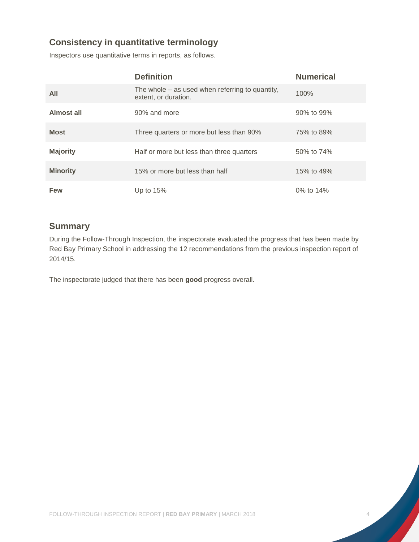### **Consistency in quantitative terminology**

Inspectors use quantitative terms in reports, as follows.

|                 | <b>Definition</b>                                                         | <b>Numerical</b> |
|-----------------|---------------------------------------------------------------------------|------------------|
| All             | The whole $-$ as used when referring to quantity,<br>extent, or duration. | 100%             |
| Almost all      | 90% and more                                                              | 90% to 99%       |
| <b>Most</b>     | Three quarters or more but less than 90%                                  | 75% to 89%       |
| <b>Majority</b> | Half or more but less than three quarters                                 | 50% to 74%       |
| <b>Minority</b> | 15% or more but less than half                                            | 15% to 49%       |
| Few             | Up to $15%$                                                               | 0% to 14%        |

### **Summary**

During the Follow-Through Inspection, the inspectorate evaluated the progress that has been made by Red Bay Primary School in addressing the 12 recommendations from the previous inspection report of 2014/15.

The inspectorate judged that there has been **good** progress overall.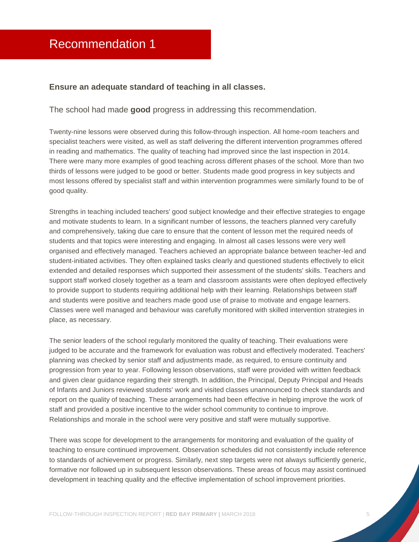#### <span id="page-5-0"></span>**Ensure an adequate standard of teaching in all classes.**

#### The school had made **good** progress in addressing this recommendation.

Twenty-nine lessons were observed during this follow-through inspection. All home-room teachers and specialist teachers were visited, as well as staff delivering the different intervention programmes offered in reading and mathematics. The quality of teaching had improved since the last inspection in 2014. There were many more examples of good teaching across different phases of the school. More than two thirds of lessons were judged to be good or better. Students made good progress in key subjects and most lessons offered by specialist staff and within intervention programmes were similarly found to be of good quality.

Strengths in teaching included teachers' good subject knowledge and their effective strategies to engage and motivate students to learn. In a significant number of lessons, the teachers planned very carefully and comprehensively, taking due care to ensure that the content of lesson met the required needs of students and that topics were interesting and engaging. In almost all cases lessons were very well organised and effectively managed. Teachers achieved an appropriate balance between teacher-led and student-initiated activities. They often explained tasks clearly and questioned students effectively to elicit extended and detailed responses which supported their assessment of the students' skills. Teachers and support staff worked closely together as a team and classroom assistants were often deployed effectively to provide support to students requiring additional help with their learning. Relationships between staff and students were positive and teachers made good use of praise to motivate and engage learners. Classes were well managed and behaviour was carefully monitored with skilled intervention strategies in place, as necessary.

The senior leaders of the school regularly monitored the quality of teaching. Their evaluations were judged to be accurate and the framework for evaluation was robust and effectively moderated. Teachers' planning was checked by senior staff and adjustments made, as required, to ensure continuity and progression from year to year. Following lesson observations, staff were provided with written feedback and given clear guidance regarding their strength. In addition, the Principal, Deputy Principal and Heads of Infants and Juniors reviewed students' work and visited classes unannounced to check standards and report on the quality of teaching. These arrangements had been effective in helping improve the work of staff and provided a positive incentive to the wider school community to continue to improve. Relationships and morale in the school were very positive and staff were mutually supportive.

There was scope for development to the arrangements for monitoring and evaluation of the quality of teaching to ensure continued improvement. Observation schedules did not consistently include reference to standards of achievement or progress. Similarly, next step targets were not always sufficiently generic, formative nor followed up in subsequent lesson observations. These areas of focus may assist continued development in teaching quality and the effective implementation of school improvement priorities.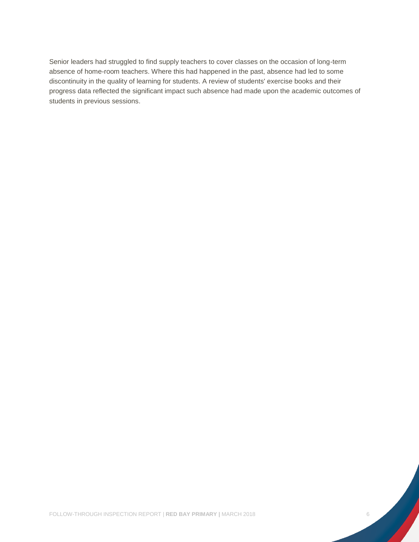Senior leaders had struggled to find supply teachers to cover classes on the occasion of long-term absence of home-room teachers. Where this had happened in the past, absence had led to some discontinuity in the quality of learning for students. A review of students' exercise books and their progress data reflected the significant impact such absence had made upon the academic outcomes of students in previous sessions.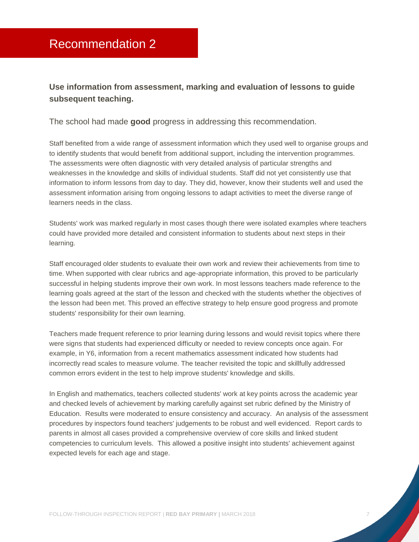### <span id="page-7-0"></span>**Use information from assessment, marking and evaluation of lessons to guide subsequent teaching.**

The school had made **good** progress in addressing this recommendation.

Staff benefited from a wide range of assessment information which they used well to organise groups and to identify students that would benefit from additional support, including the intervention programmes. The assessments were often diagnostic with very detailed analysis of particular strengths and weaknesses in the knowledge and skills of individual students. Staff did not yet consistently use that information to inform lessons from day to day. They did, however, know their students well and used the assessment information arising from ongoing lessons to adapt activities to meet the diverse range of learners needs in the class.

Students' work was marked regularly in most cases though there were isolated examples where teachers could have provided more detailed and consistent information to students about next steps in their learning.

Staff encouraged older students to evaluate their own work and review their achievements from time to time. When supported with clear rubrics and age-appropriate information, this proved to be particularly successful in helping students improve their own work. In most lessons teachers made reference to the learning goals agreed at the start of the lesson and checked with the students whether the objectives of the lesson had been met. This proved an effective strategy to help ensure good progress and promote students' responsibility for their own learning.

Teachers made frequent reference to prior learning during lessons and would revisit topics where there were signs that students had experienced difficulty or needed to review concepts once again. For example, in Y6, information from a recent mathematics assessment indicated how students had incorrectly read scales to measure volume. The teacher revisited the topic and skillfully addressed common errors evident in the test to help improve students' knowledge and skills.

In English and mathematics, teachers collected students' work at key points across the academic year and checked levels of achievement by marking carefully against set rubric defined by the Ministry of Education. Results were moderated to ensure consistency and accuracy. An analysis of the assessment procedures by inspectors found teachers' judgements to be robust and well evidenced. Report cards to parents in almost all cases provided a comprehensive overview of core skills and linked student competencies to curriculum levels. This allowed a positive insight into students' achievement against expected levels for each age and stage.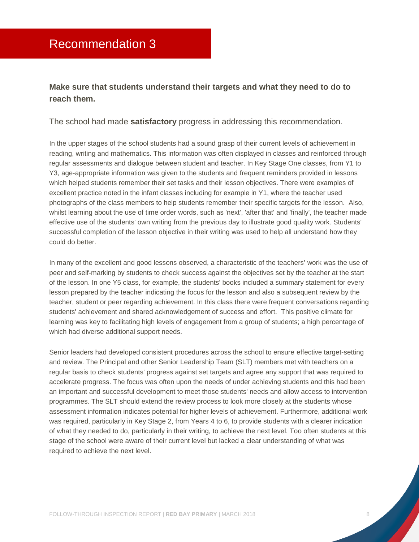### <span id="page-8-0"></span>**Make sure that students understand their targets and what they need to do to reach them.**

The school had made **satisfactory** progress in addressing this recommendation.

In the upper stages of the school students had a sound grasp of their current levels of achievement in reading, writing and mathematics. This information was often displayed in classes and reinforced through regular assessments and dialogue between student and teacher. In Key Stage One classes, from Y1 to Y3, age-appropriate information was given to the students and frequent reminders provided in lessons which helped students remember their set tasks and their lesson objectives. There were examples of excellent practice noted in the infant classes including for example in Y1, where the teacher used photographs of the class members to help students remember their specific targets for the lesson. Also, whilst learning about the use of time order words, such as 'next', 'after that' and 'finally', the teacher made effective use of the students' own writing from the previous day to illustrate good quality work. Students' successful completion of the lesson objective in their writing was used to help all understand how they could do better.

In many of the excellent and good lessons observed, a characteristic of the teachers' work was the use of peer and self-marking by students to check success against the objectives set by the teacher at the start of the lesson. In one Y5 class, for example, the students' books included a summary statement for every lesson prepared by the teacher indicating the focus for the lesson and also a subsequent review by the teacher, student or peer regarding achievement. In this class there were frequent conversations regarding students' achievement and shared acknowledgement of success and effort. This positive climate for learning was key to facilitating high levels of engagement from a group of students; a high percentage of which had diverse additional support needs.

Senior leaders had developed consistent procedures across the school to ensure effective target-setting and review. The Principal and other Senior Leadership Team (SLT) members met with teachers on a regular basis to check students' progress against set targets and agree any support that was required to accelerate progress. The focus was often upon the needs of under achieving students and this had been an important and successful development to meet those students' needs and allow access to intervention programmes. The SLT should extend the review process to look more closely at the students whose assessment information indicates potential for higher levels of achievement. Furthermore, additional work was required, particularly in Key Stage 2, from Years 4 to 6, to provide students with a clearer indication of what they needed to do, particularly in their writing, to achieve the next level. Too often students at this stage of the school were aware of their current level but lacked a clear understanding of what was required to achieve the next level.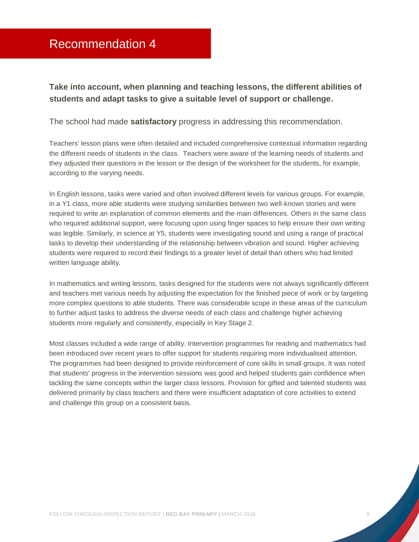### <span id="page-9-0"></span>Recommendation 4

### **Take into account, when planning and teaching lessons, the different abilities of students and adapt tasks to give a suitable level of support or challenge.**

#### The school had made **satisfactory** progress in addressing this recommendation.

Teachers' lesson plans were often detailed and included comprehensive contextual information regarding the different needs of students in the class. Teachers were aware of the learning needs of students and they adjusted their questions in the lesson or the design of the worksheet for the students, for example, according to the varying needs.

In English lessons, tasks were varied and often involved different levels for various groups. For example, in a Y1 class, more able students were studying similarities between two well-known stories and were required to write an explanation of common elements and the main differences. Others in the same class who required additional support, were focusing upon using finger spaces to help ensure their own writing was legible. Similarly, in science at Y5, students were investigating sound and using a range of practical tasks to develop their understanding of the relationship between vibration and sound. Higher achieving students were required to record their findings to a greater level of detail than others who had limited written language ability.

In mathematics and writing lessons, tasks designed for the students were not always significantly different and teachers met various needs by adjusting the expectation for the finished piece of work or by targeting more complex questions to able students. There was considerable scope in these areas of the curriculum to further adjust tasks to address the diverse needs of each class and challenge higher achieving students more regularly and consistently, especially in Key Stage 2.

Most classes included a wide range of ability. Intervention programmes for reading and mathematics had been introduced over recent years to offer support for students requiring more individualised attention. The programmes had been designed to provide reinforcement of core skills in small groups. It was noted that students' progress in the intervention sessions was good and helped students gain confidence when tackling the same concepts within the larger class lessons. Provision for gifted and talented students was delivered primarily by class teachers and there were insufficient adaptation of core activities to extend and challenge this group on a consistent basis.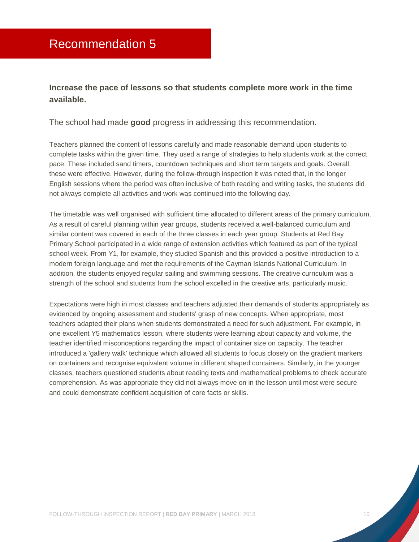### <span id="page-10-0"></span>**Increase the pace of lessons so that students complete more work in the time available.**

The school had made **good** progress in addressing this recommendation.

Teachers planned the content of lessons carefully and made reasonable demand upon students to complete tasks within the given time. They used a range of strategies to help students work at the correct pace. These included sand timers, countdown techniques and short term targets and goals. Overall, these were effective. However, during the follow-through inspection it was noted that, in the longer English sessions where the period was often inclusive of both reading and writing tasks, the students did not always complete all activities and work was continued into the following day.

The timetable was well organised with sufficient time allocated to different areas of the primary curriculum. As a result of careful planning within year groups, students received a well-balanced curriculum and similar content was covered in each of the three classes in each year group. Students at Red Bay Primary School participated in a wide range of extension activities which featured as part of the typical school week. From Y1, for example, they studied Spanish and this provided a positive introduction to a modern foreign language and met the requirements of the Cayman Islands National Curriculum. In addition, the students enjoyed regular sailing and swimming sessions. The creative curriculum was a strength of the school and students from the school excelled in the creative arts, particularly music.

Expectations were high in most classes and teachers adjusted their demands of students appropriately as evidenced by ongoing assessment and students' grasp of new concepts. When appropriate, most teachers adapted their plans when students demonstrated a need for such adjustment. For example, in one excellent Y5 mathematics lesson, where students were learning about capacity and volume, the teacher identified misconceptions regarding the impact of container size on capacity. The teacher introduced a 'gallery walk' technique which allowed all students to focus closely on the gradient markers on containers and recognise equivalent volume in different shaped containers. Similarly, in the younger classes, teachers questioned students about reading texts and mathematical problems to check accurate comprehension. As was appropriate they did not always move on in the lesson until most were secure and could demonstrate confident acquisition of core facts or skills.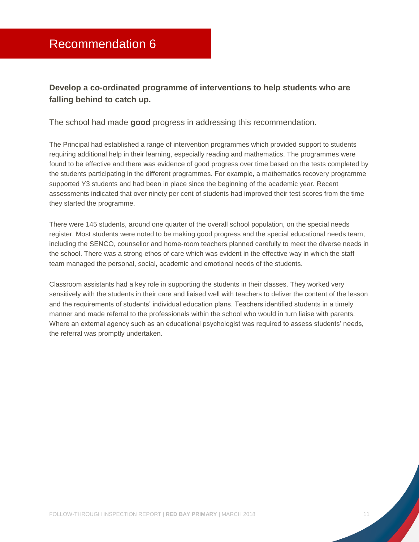### <span id="page-11-0"></span>**Develop a co-ordinated programme of interventions to help students who are falling behind to catch up.**

The school had made **good** progress in addressing this recommendation.

The Principal had established a range of intervention programmes which provided support to students requiring additional help in their learning, especially reading and mathematics. The programmes were found to be effective and there was evidence of good progress over time based on the tests completed by the students participating in the different programmes. For example, a mathematics recovery programme supported Y3 students and had been in place since the beginning of the academic year. Recent assessments indicated that over ninety per cent of students had improved their test scores from the time they started the programme.

There were 145 students, around one quarter of the overall school population, on the special needs register. Most students were noted to be making good progress and the special educational needs team, including the SENCO, counsellor and home-room teachers planned carefully to meet the diverse needs in the school. There was a strong ethos of care which was evident in the effective way in which the staff team managed the personal, social, academic and emotional needs of the students.

Classroom assistants had a key role in supporting the students in their classes. They worked very sensitively with the students in their care and liaised well with teachers to deliver the content of the lesson and the requirements of students' individual education plans. Teachers identified students in a timely manner and made referral to the professionals within the school who would in turn liaise with parents. Where an external agency such as an educational psychologist was required to assess students' needs, the referral was promptly undertaken.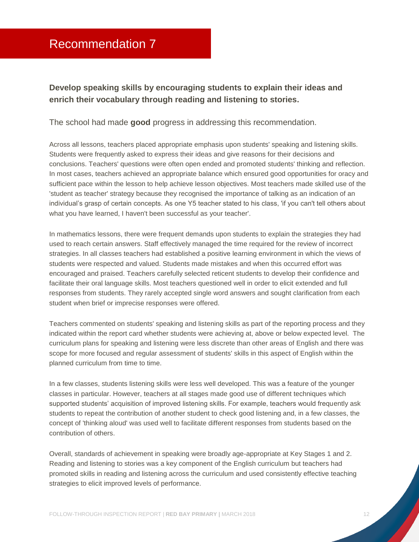### <span id="page-12-0"></span>**Develop speaking skills by encouraging students to explain their ideas and enrich their vocabulary through reading and listening to stories.**

The school had made **good** progress in addressing this recommendation.

Across all lessons, teachers placed appropriate emphasis upon students' speaking and listening skills. Students were frequently asked to express their ideas and give reasons for their decisions and conclusions. Teachers' questions were often open ended and promoted students' thinking and reflection. In most cases, teachers achieved an appropriate balance which ensured good opportunities for oracy and sufficient pace within the lesson to help achieve lesson objectives. Most teachers made skilled use of the 'student as teacher' strategy because they recognised the importance of talking as an indication of an individual's grasp of certain concepts. As one Y5 teacher stated to his class, 'if you can't tell others about what you have learned, I haven't been successful as your teacher'.

In mathematics lessons, there were frequent demands upon students to explain the strategies they had used to reach certain answers. Staff effectively managed the time required for the review of incorrect strategies. In all classes teachers had established a positive learning environment in which the views of students were respected and valued. Students made mistakes and when this occurred effort was encouraged and praised. Teachers carefully selected reticent students to develop their confidence and facilitate their oral language skills. Most teachers questioned well in order to elicit extended and full responses from students. They rarely accepted single word answers and sought clarification from each student when brief or imprecise responses were offered.

Teachers commented on students' speaking and listening skills as part of the reporting process and they indicated within the report card whether students were achieving at, above or below expected level. The curriculum plans for speaking and listening were less discrete than other areas of English and there was scope for more focused and regular assessment of students' skills in this aspect of English within the planned curriculum from time to time.

In a few classes, students listening skills were less well developed. This was a feature of the younger classes in particular. However, teachers at all stages made good use of different techniques which supported students' acquisition of improved listening skills. For example, teachers would frequently ask students to repeat the contribution of another student to check good listening and, in a few classes, the concept of 'thinking aloud' was used well to facilitate different responses from students based on the contribution of others.

Overall, standards of achievement in speaking were broadly age-appropriate at Key Stages 1 and 2. Reading and listening to stories was a key component of the English curriculum but teachers had promoted skills in reading and listening across the curriculum and used consistently effective teaching strategies to elicit improved levels of performance.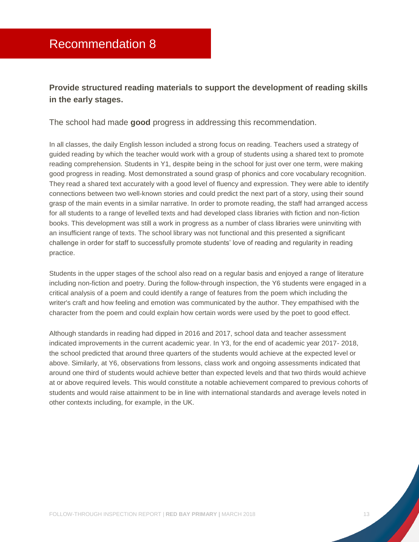### <span id="page-13-0"></span>**Provide structured reading materials to support the development of reading skills in the early stages.**

The school had made **good** progress in addressing this recommendation.

In all classes, the daily English lesson included a strong focus on reading. Teachers used a strategy of guided reading by which the teacher would work with a group of students using a shared text to promote reading comprehension. Students in Y1, despite being in the school for just over one term, were making good progress in reading. Most demonstrated a sound grasp of phonics and core vocabulary recognition. They read a shared text accurately with a good level of fluency and expression. They were able to identify connections between two well-known stories and could predict the next part of a story, using their sound grasp of the main events in a similar narrative. In order to promote reading, the staff had arranged access for all students to a range of levelled texts and had developed class libraries with fiction and non-fiction books. This development was still a work in progress as a number of class libraries were uninviting with an insufficient range of texts. The school library was not functional and this presented a significant challenge in order for staff to successfully promote students' love of reading and regularity in reading practice.

Students in the upper stages of the school also read on a regular basis and enjoyed a range of literature including non-fiction and poetry. During the follow-through inspection, the Y6 students were engaged in a critical analysis of a poem and could identify a range of features from the poem which including the writer's craft and how feeling and emotion was communicated by the author. They empathised with the character from the poem and could explain how certain words were used by the poet to good effect.

Although standards in reading had dipped in 2016 and 2017, school data and teacher assessment indicated improvements in the current academic year. In Y3, for the end of academic year 2017- 2018, the school predicted that around three quarters of the students would achieve at the expected level or above. Similarly, at Y6, observations from lessons, class work and ongoing assessments indicated that around one third of students would achieve better than expected levels and that two thirds would achieve at or above required levels. This would constitute a notable achievement compared to previous cohorts of students and would raise attainment to be in line with international standards and average levels noted in other contexts including, for example, in the UK.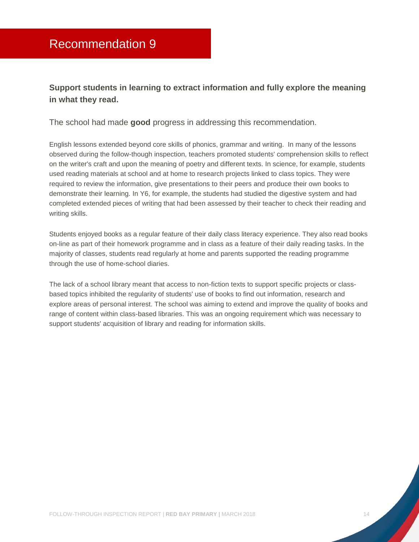### <span id="page-14-0"></span>**Support students in learning to extract information and fully explore the meaning in what they read.**

The school had made **good** progress in addressing this recommendation.

English lessons extended beyond core skills of phonics, grammar and writing. In many of the lessons observed during the follow-though inspection, teachers promoted students' comprehension skills to reflect on the writer's craft and upon the meaning of poetry and different texts. In science, for example, students used reading materials at school and at home to research projects linked to class topics. They were required to review the information, give presentations to their peers and produce their own books to demonstrate their learning. In Y6, for example, the students had studied the digestive system and had completed extended pieces of writing that had been assessed by their teacher to check their reading and writing skills.

Students enjoyed books as a regular feature of their daily class literacy experience. They also read books on-line as part of their homework programme and in class as a feature of their daily reading tasks. In the majority of classes, students read regularly at home and parents supported the reading programme through the use of home-school diaries.

The lack of a school library meant that access to non-fiction texts to support specific projects or classbased topics inhibited the regularity of students' use of books to find out information, research and explore areas of personal interest. The school was aiming to extend and improve the quality of books and range of content within class-based libraries. This was an ongoing requirement which was necessary to support students' acquisition of library and reading for information skills.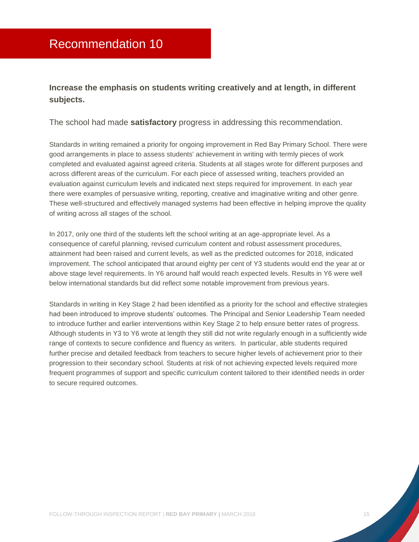### <span id="page-15-0"></span>**Increase the emphasis on students writing creatively and at length, in different subjects.**

The school had made **satisfactory** progress in addressing this recommendation.

Standards in writing remained a priority for ongoing improvement in Red Bay Primary School. There were good arrangements in place to assess students' achievement in writing with termly pieces of work completed and evaluated against agreed criteria. Students at all stages wrote for different purposes and across different areas of the curriculum. For each piece of assessed writing, teachers provided an evaluation against curriculum levels and indicated next steps required for improvement. In each year there were examples of persuasive writing, reporting, creative and imaginative writing and other genre. These well-structured and effectively managed systems had been effective in helping improve the quality of writing across all stages of the school.

In 2017, only one third of the students left the school writing at an age-appropriate level. As a consequence of careful planning, revised curriculum content and robust assessment procedures, attainment had been raised and current levels, as well as the predicted outcomes for 2018, indicated improvement. The school anticipated that around eighty per cent of Y3 students would end the year at or above stage level requirements. In Y6 around half would reach expected levels. Results in Y6 were well below international standards but did reflect some notable improvement from previous years.

Standards in writing in Key Stage 2 had been identified as a priority for the school and effective strategies had been introduced to improve students' outcomes. The Principal and Senior Leadership Team needed to introduce further and earlier interventions within Key Stage 2 to help ensure better rates of progress. Although students in Y3 to Y6 wrote at length they still did not write regularly enough in a sufficiently wide range of contexts to secure confidence and fluency as writers. In particular, able students required further precise and detailed feedback from teachers to secure higher levels of achievement prior to their progression to their secondary school. Students at risk of not achieving expected levels required more frequent programmes of support and specific curriculum content tailored to their identified needs in order to secure required outcomes.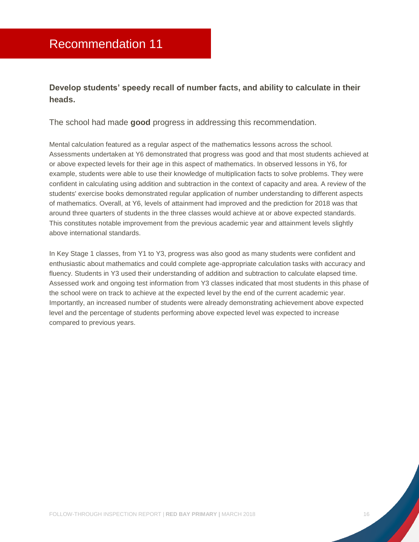### <span id="page-16-0"></span>**Develop students' speedy recall of number facts, and ability to calculate in their heads.**

The school had made **good** progress in addressing this recommendation.

Mental calculation featured as a regular aspect of the mathematics lessons across the school. Assessments undertaken at Y6 demonstrated that progress was good and that most students achieved at or above expected levels for their age in this aspect of mathematics. In observed lessons in Y6, for example, students were able to use their knowledge of multiplication facts to solve problems. They were confident in calculating using addition and subtraction in the context of capacity and area. A review of the students' exercise books demonstrated regular application of number understanding to different aspects of mathematics. Overall, at Y6, levels of attainment had improved and the prediction for 2018 was that around three quarters of students in the three classes would achieve at or above expected standards. This constitutes notable improvement from the previous academic year and attainment levels slightly above international standards.

In Key Stage 1 classes, from Y1 to Y3, progress was also good as many students were confident and enthusiastic about mathematics and could complete age-appropriate calculation tasks with accuracy and fluency. Students in Y3 used their understanding of addition and subtraction to calculate elapsed time. Assessed work and ongoing test information from Y3 classes indicated that most students in this phase of the school were on track to achieve at the expected level by the end of the current academic year. Importantly, an increased number of students were already demonstrating achievement above expected level and the percentage of students performing above expected level was expected to increase compared to previous years.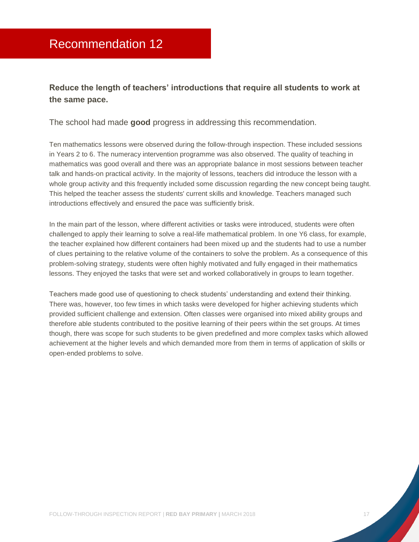### <span id="page-17-0"></span>**Reduce the length of teachers' introductions that require all students to work at the same pace.**

The school had made **good** progress in addressing this recommendation.

Ten mathematics lessons were observed during the follow-through inspection. These included sessions in Years 2 to 6. The numeracy intervention programme was also observed. The quality of teaching in mathematics was good overall and there was an appropriate balance in most sessions between teacher talk and hands-on practical activity. In the majority of lessons, teachers did introduce the lesson with a whole group activity and this frequently included some discussion regarding the new concept being taught. This helped the teacher assess the students' current skills and knowledge. Teachers managed such introductions effectively and ensured the pace was sufficiently brisk.

In the main part of the lesson, where different activities or tasks were introduced, students were often challenged to apply their learning to solve a real-life mathematical problem. In one Y6 class, for example, the teacher explained how different containers had been mixed up and the students had to use a number of clues pertaining to the relative volume of the containers to solve the problem. As a consequence of this problem-solving strategy, students were often highly motivated and fully engaged in their mathematics lessons. They enjoyed the tasks that were set and worked collaboratively in groups to learn together.

Teachers made good use of questioning to check students' understanding and extend their thinking. There was, however, too few times in which tasks were developed for higher achieving students which provided sufficient challenge and extension. Often classes were organised into mixed ability groups and therefore able students contributed to the positive learning of their peers within the set groups. At times though, there was scope for such students to be given predefined and more complex tasks which allowed achievement at the higher levels and which demanded more from them in terms of application of skills or open-ended problems to solve.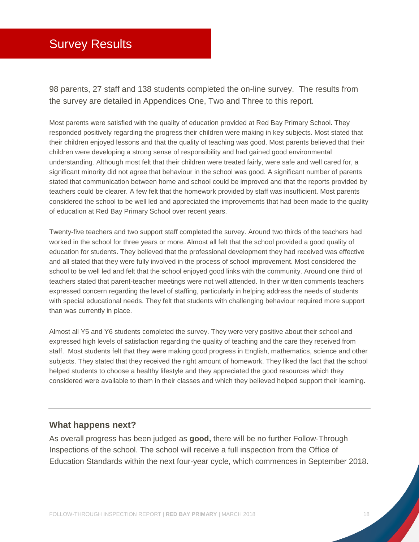# <span id="page-18-0"></span>Survey Results

98 parents, 27 staff and 138 students completed the on-line survey. The results from the survey are detailed in Appendices One, Two and Three to this report.

Most parents were satisfied with the quality of education provided at Red Bay Primary School. They responded positively regarding the progress their children were making in key subjects. Most stated that their children enjoyed lessons and that the quality of teaching was good. Most parents believed that their children were developing a strong sense of responsibility and had gained good environmental understanding. Although most felt that their children were treated fairly, were safe and well cared for, a significant minority did not agree that behaviour in the school was good. A significant number of parents stated that communication between home and school could be improved and that the reports provided by teachers could be clearer. A few felt that the homework provided by staff was insufficient. Most parents considered the school to be well led and appreciated the improvements that had been made to the quality of education at Red Bay Primary School over recent years.

Twenty-five teachers and two support staff completed the survey. Around two thirds of the teachers had worked in the school for three years or more. Almost all felt that the school provided a good quality of education for students. They believed that the professional development they had received was effective and all stated that they were fully involved in the process of school improvement. Most considered the school to be well led and felt that the school enjoyed good links with the community. Around one third of teachers stated that parent-teacher meetings were not well attended. In their written comments teachers expressed concern regarding the level of staffing, particularly in helping address the needs of students with special educational needs. They felt that students with challenging behaviour required more support than was currently in place.

Almost all Y5 and Y6 students completed the survey. They were very positive about their school and expressed high levels of satisfaction regarding the quality of teaching and the care they received from staff. Most students felt that they were making good progress in English, mathematics, science and other subjects. They stated that they received the right amount of homework. They liked the fact that the school helped students to choose a healthy lifestyle and they appreciated the good resources which they considered were available to them in their classes and which they believed helped support their learning.

#### **What happens next?**

As overall progress has been judged as **good,** there will be no further Follow-Through Inspections of the school. The school will receive a full inspection from the Office of Education Standards within the next four-year cycle, which commences in September 2018.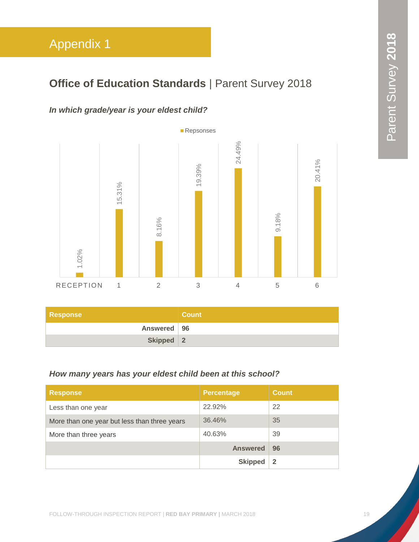# <span id="page-19-0"></span>**Office of Education Standards** | Parent Survey 2018

### *In which grade/year is your eldest child?*



| Response      | / Count / |
|---------------|-----------|
| Answered   96 |           |
| Skipped 2     |           |

### *How many years has your eldest child been at this school?*

| <b>Response</b>                              | <b>Percentage</b> | <b>Count</b> |
|----------------------------------------------|-------------------|--------------|
| Less than one year                           | 22.92%            | 22           |
| More than one year but less than three years | 36.46%            | 35           |
| More than three years                        | 40.63%            | 39           |
|                                              | <b>Answered</b>   | 96           |
|                                              | <b>Skipped</b>    | 2            |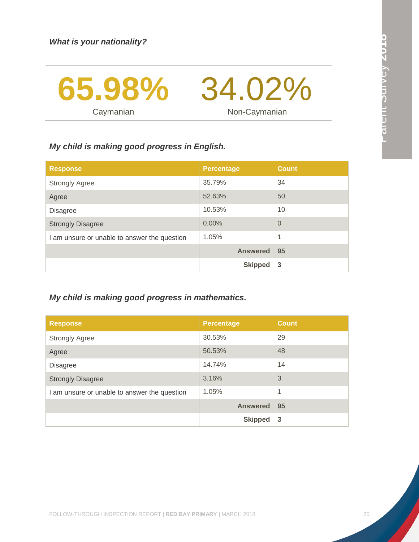

### *My child is making good progress in English.*

| <b>Response</b>                              | <b>Percentage</b> | <b>Count</b>   |
|----------------------------------------------|-------------------|----------------|
| <b>Strongly Agree</b>                        | 35.79%            | 34             |
| Agree                                        | 52.63%            | 50             |
| <b>Disagree</b>                              | 10.53%            | 10             |
| <b>Strongly Disagree</b>                     | 0.00%             | $\overline{0}$ |
| I am unsure or unable to answer the question | 1.05%             | 1              |
|                                              | <b>Answered</b>   | 95             |
|                                              | <b>Skipped</b>    | 3              |

### *My child is making good progress in mathematics.*

| <b>Response</b>                              | <b>Percentage</b> | <b>Count</b> |
|----------------------------------------------|-------------------|--------------|
| <b>Strongly Agree</b>                        | 30.53%            | 29           |
| Agree                                        | 50.53%            | 48           |
| <b>Disagree</b>                              | 14.74%            | 14           |
| <b>Strongly Disagree</b>                     | 3.16%             | 3            |
| I am unsure or unable to answer the question | 1.05%             | 1            |
|                                              | <b>Answered</b>   | 95           |
|                                              | <b>Skipped</b>    | 3            |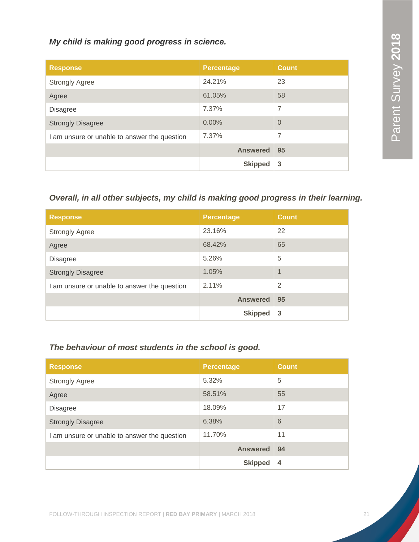*My child is making good progress in science.*

| <b>Response</b>                              | <b>Percentage</b> | <b>Count</b> |
|----------------------------------------------|-------------------|--------------|
| <b>Strongly Agree</b>                        | 24.21%            | 23           |
| Agree                                        | 61.05%            | 58           |
| <b>Disagree</b>                              | 7.37%             | 7            |
| <b>Strongly Disagree</b>                     | 0.00%             | $\Omega$     |
| I am unsure or unable to answer the question | 7.37%             | 7            |
|                                              | <b>Answered</b>   | 95           |
|                                              | <b>Skipped</b>    | 3            |

### *Overall, in all other subjects, my child is making good progress in their learning.*

| <b>Response</b>                              | <b>Percentage</b> | <b>Count</b>   |
|----------------------------------------------|-------------------|----------------|
| <b>Strongly Agree</b>                        | 23.16%            | 22             |
| Agree                                        | 68.42%            | 65             |
| <b>Disagree</b>                              | 5.26%             | 5              |
| <b>Strongly Disagree</b>                     | 1.05%             | 1              |
| I am unsure or unable to answer the question | 2.11%             | $\overline{2}$ |
|                                              | <b>Answered</b>   | 95             |
|                                              | <b>Skipped</b>    | 3              |

### *The behaviour of most students in the school is good.*

| <b>Response</b>                              | <b>Percentage</b> | <b>Count</b> |
|----------------------------------------------|-------------------|--------------|
| <b>Strongly Agree</b>                        | 5.32%             | 5            |
| Agree                                        | 58.51%            | 55           |
| <b>Disagree</b>                              | 18.09%            | 17           |
| <b>Strongly Disagree</b>                     | 6.38%             | 6            |
| I am unsure or unable to answer the question | 11.70%            | 11           |
|                                              | <b>Answered</b>   | 94           |
|                                              | <b>Skipped</b>    | 4            |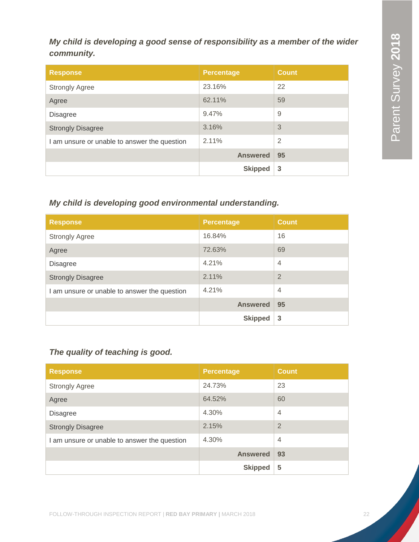### *My child is developing a good sense of responsibility as a member of the wider community.*

| <b>Response</b>                              | <b>Percentage</b> | <b>Count</b>   |
|----------------------------------------------|-------------------|----------------|
| <b>Strongly Agree</b>                        | 23.16%            | 22             |
| Agree                                        | 62.11%            | 59             |
| <b>Disagree</b>                              | 9.47%             | 9              |
| <b>Strongly Disagree</b>                     | 3.16%             | 3              |
| I am unsure or unable to answer the question | 2.11%             | $\overline{2}$ |
|                                              | <b>Answered</b>   | 95             |
|                                              | <b>Skipped</b>    | 3              |

### *My child is developing good environmental understanding.*

| <b>Response</b>                              | <b>Percentage</b> | <b>Count</b>   |
|----------------------------------------------|-------------------|----------------|
| <b>Strongly Agree</b>                        | 16.84%            | 16             |
| Agree                                        | 72.63%            | 69             |
| <b>Disagree</b>                              | 4.21%             | $\overline{4}$ |
| <b>Strongly Disagree</b>                     | 2.11%             | $\overline{2}$ |
| I am unsure or unable to answer the question | 4.21%             | $\overline{4}$ |
|                                              | <b>Answered</b>   | 95             |
|                                              | <b>Skipped</b>    | 3              |

### *The quality of teaching is good.*

| <b>Response</b>                              | <b>Percentage</b> | <b>Count</b>   |
|----------------------------------------------|-------------------|----------------|
| <b>Strongly Agree</b>                        | 24.73%            | 23             |
| Agree                                        | 64.52%            | 60             |
| <b>Disagree</b>                              | 4.30%             | $\overline{4}$ |
| <b>Strongly Disagree</b>                     | 2.15%             | $\overline{2}$ |
| I am unsure or unable to answer the question | 4.30%             | $\overline{4}$ |
|                                              | <b>Answered</b>   | 93             |
|                                              | <b>Skipped</b>    | 5              |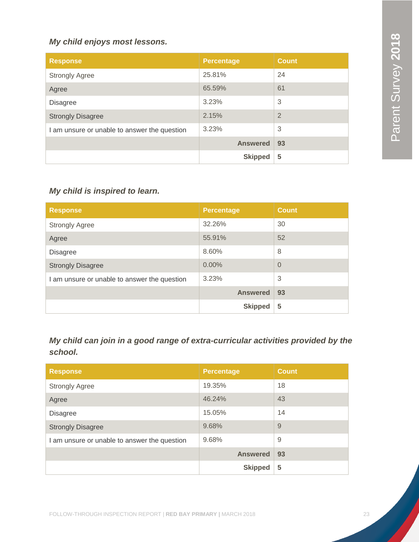### *My child enjoys most lessons.*

| <b>Response</b>                              | <b>Percentage</b> | <b>Count</b>   |
|----------------------------------------------|-------------------|----------------|
| <b>Strongly Agree</b>                        | 25.81%            | 24             |
| Agree                                        | 65.59%            | 61             |
| <b>Disagree</b>                              | 3.23%             | 3              |
| <b>Strongly Disagree</b>                     | 2.15%             | $\overline{2}$ |
| I am unsure or unable to answer the question | 3.23%             | 3              |
|                                              | <b>Answered</b>   | 93             |
|                                              | <b>Skipped</b>    | 5              |

### *My child is inspired to learn.*

| <b>Response</b>                              | <b>Percentage</b> | <b>Count</b> |
|----------------------------------------------|-------------------|--------------|
| <b>Strongly Agree</b>                        | 32.26%            | 30           |
| Agree                                        | 55.91%            | 52           |
| <b>Disagree</b>                              | 8.60%             | 8            |
| <b>Strongly Disagree</b>                     | $0.00\%$          | $\Omega$     |
| I am unsure or unable to answer the question | 3.23%             | 3            |
|                                              | <b>Answered</b>   | 93           |
|                                              | <b>Skipped</b>    | 5            |

*My child can join in a good range of extra-curricular activities provided by the school.*

| <b>Response</b>                              | <b>Percentage</b> | <b>Count</b> |
|----------------------------------------------|-------------------|--------------|
| <b>Strongly Agree</b>                        | 19.35%            | 18           |
| Agree                                        | 46.24%            | 43           |
| <b>Disagree</b>                              | 15.05%            | 14           |
| <b>Strongly Disagree</b>                     | 9.68%             | 9            |
| I am unsure or unable to answer the question | 9.68%             | 9            |
|                                              | <b>Answered</b>   | 93           |
|                                              | <b>Skipped</b>    | 5            |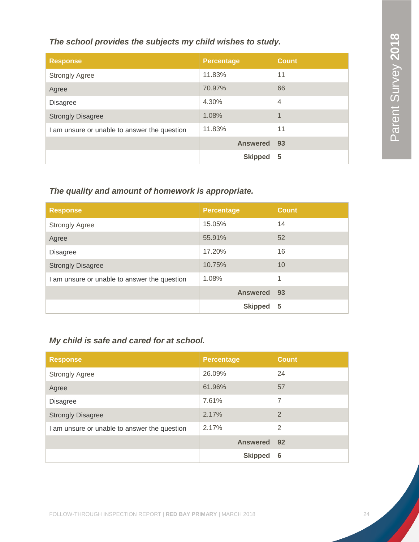### *The school provides the subjects my child wishes to study.*

| <b>Response</b>                              | <b>Percentage</b> | <b>Count</b>             |
|----------------------------------------------|-------------------|--------------------------|
| <b>Strongly Agree</b>                        | 11.83%            | 11                       |
| Agree                                        | 70.97%            | 66                       |
| <b>Disagree</b>                              | 4.30%             | $\overline{4}$           |
| <b>Strongly Disagree</b>                     | 1.08%             | $\overline{\mathcal{A}}$ |
| I am unsure or unable to answer the question | 11.83%            | 11                       |
|                                              | <b>Answered</b>   | 93                       |
|                                              | <b>Skipped</b>    | 5                        |

### *The quality and amount of homework is appropriate.*

| <b>Response</b>                              | <b>Percentage</b> | <b>Count</b> |
|----------------------------------------------|-------------------|--------------|
| <b>Strongly Agree</b>                        | 15.05%            | 14           |
| Agree                                        | 55.91%            | 52           |
| <b>Disagree</b>                              | 17.20%            | 16           |
| <b>Strongly Disagree</b>                     | 10.75%            | 10           |
| I am unsure or unable to answer the question | 1.08%             | 1            |
|                                              | <b>Answered</b>   | 93           |
|                                              | <b>Skipped</b>    | 5            |

### *My child is safe and cared for at school.*

| <b>Response</b>                              | <b>Percentage</b> | <b>Count</b> |
|----------------------------------------------|-------------------|--------------|
| <b>Strongly Agree</b>                        | 26.09%            | 24           |
| Agree                                        | 61.96%            | 57           |
| <b>Disagree</b>                              | 7.61%             | 7            |
| <b>Strongly Disagree</b>                     | 2.17%             | 2            |
| I am unsure or unable to answer the question | 2.17%             | 2            |
|                                              | <b>Answered</b>   | 92           |
|                                              | <b>Skipped</b>    | 6            |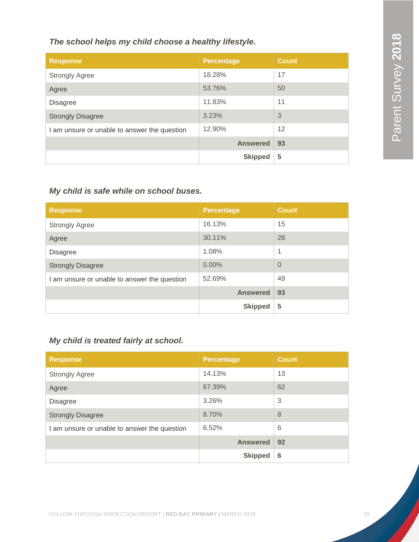### *The school helps my child choose a healthy lifestyle.*

| <b>Response</b>                              | <b>Percentage</b> | <b>Count</b> |
|----------------------------------------------|-------------------|--------------|
| <b>Strongly Agree</b>                        | 18.28%            | 17           |
| Agree                                        | 53.76%            | 50           |
| <b>Disagree</b>                              | 11.83%            | 11           |
| <b>Strongly Disagree</b>                     | 3.23%             | 3            |
| I am unsure or unable to answer the question | 12.90%            | 12           |
|                                              | <b>Answered</b>   | 93           |
|                                              | <b>Skipped</b>    | 5            |

### *My child is safe while on school buses.*

| <b>Response</b>                              | <b>Percentage</b> | <b>Count</b>   |
|----------------------------------------------|-------------------|----------------|
| <b>Strongly Agree</b>                        | 16.13%            | 15             |
| Agree                                        | 30.11%            | 28             |
| <b>Disagree</b>                              | 1.08%             | 1              |
| <b>Strongly Disagree</b>                     | 0.00%             | $\overline{0}$ |
| I am unsure or unable to answer the question | 52.69%            | 49             |
|                                              | <b>Answered</b>   | 93             |
|                                              | <b>Skipped</b>    | 5              |

### *My child is treated fairly at school.*

| <b>Response</b>                              | <b>Percentage</b> | <b>Count</b> |
|----------------------------------------------|-------------------|--------------|
| <b>Strongly Agree</b>                        | 14.13%            | 13           |
| Agree                                        | 67.39%            | 62           |
| <b>Disagree</b>                              | 3.26%             | 3            |
| <b>Strongly Disagree</b>                     | 8.70%             | 8            |
| I am unsure or unable to answer the question | 6.52%             | 6            |
|                                              | <b>Answered</b>   | 92           |
|                                              | <b>Skipped</b>    | 6            |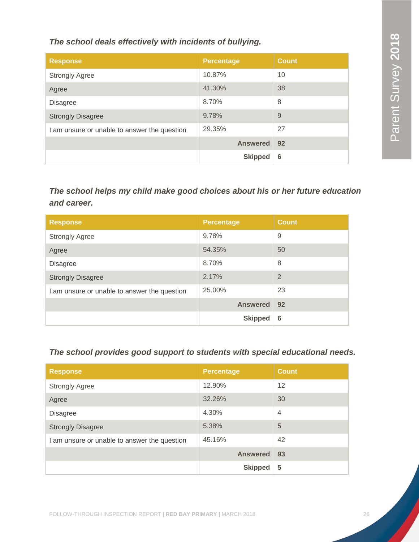*The school deals effectively with incidents of bullying.*

| <b>Response</b>                              | <b>Percentage</b> | <b>Count</b> |
|----------------------------------------------|-------------------|--------------|
| <b>Strongly Agree</b>                        | 10.87%            | 10           |
| Agree                                        | 41.30%            | 38           |
| <b>Disagree</b>                              | 8.70%             | 8            |
| <b>Strongly Disagree</b>                     | 9.78%             | 9            |
| I am unsure or unable to answer the question | 29.35%            | 27           |
|                                              | <b>Answered</b>   | 92           |
|                                              | <b>Skipped</b>    | 6            |

*The school helps my child make good choices about his or her future education and career.*

| <b>Response</b>                              | <b>Percentage</b> | <b>Count</b>   |
|----------------------------------------------|-------------------|----------------|
| <b>Strongly Agree</b>                        | 9.78%             | 9              |
| Agree                                        | 54.35%            | 50             |
| <b>Disagree</b>                              | 8.70%             | 8              |
| <b>Strongly Disagree</b>                     | 2.17%             | $\overline{2}$ |
| I am unsure or unable to answer the question | 25.00%            | 23             |
|                                              | <b>Answered</b>   | 92             |
|                                              | <b>Skipped</b>    | 6              |

*The school provides good support to students with special educational needs.*

| <b>Response</b>                              | <b>Percentage</b> | <b>Count</b>   |
|----------------------------------------------|-------------------|----------------|
| <b>Strongly Agree</b>                        | 12.90%            | 12             |
| Agree                                        | 32.26%            | 30             |
| <b>Disagree</b>                              | 4.30%             | $\overline{4}$ |
| <b>Strongly Disagree</b>                     | 5.38%             | 5              |
| I am unsure or unable to answer the question | 45.16%            | 42             |
|                                              | <b>Answered</b>   | 93             |
|                                              | <b>Skipped</b>    | 5              |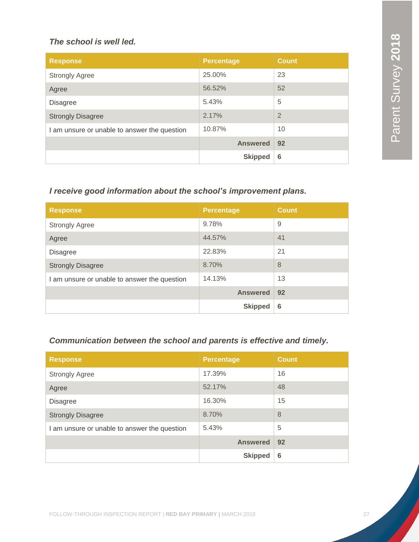### *The school is well led.*

| <b>Response</b>                              | <b>Percentage</b> | <b>Count</b>   |
|----------------------------------------------|-------------------|----------------|
| <b>Strongly Agree</b>                        | 25.00%            | 23             |
| Agree                                        | 56.52%            | 52             |
| <b>Disagree</b>                              | 5.43%             | 5              |
| <b>Strongly Disagree</b>                     | 2.17%             | $\overline{2}$ |
| I am unsure or unable to answer the question | 10.87%            | 10             |
|                                              | <b>Answered</b>   | 92             |
|                                              | <b>Skipped</b>    | 6              |

### *I receive good information about the school's improvement plans.*

| <b>Response</b>                              | <b>Percentage</b> | <b>Count</b> |
|----------------------------------------------|-------------------|--------------|
| <b>Strongly Agree</b>                        | 9.78%             | 9            |
| Agree                                        | 44.57%            | 41           |
| <b>Disagree</b>                              | 22.83%            | 21           |
| <b>Strongly Disagree</b>                     | 8.70%             | 8            |
| I am unsure or unable to answer the question | 14.13%            | 13           |
|                                              | <b>Answered</b>   | 92           |
|                                              | <b>Skipped</b>    | 6            |

### *Communication between the school and parents is effective and timely.*

| <b>Response</b>                              | <b>Percentage</b> | <b>Count</b> |
|----------------------------------------------|-------------------|--------------|
| <b>Strongly Agree</b>                        | 17.39%            | 16           |
| Agree                                        | 52.17%            | 48           |
| <b>Disagree</b>                              | 16.30%            | 15           |
| <b>Strongly Disagree</b>                     | 8.70%             | 8            |
| I am unsure or unable to answer the question | 5.43%             | 5            |
|                                              | <b>Answered</b>   | 92           |
|                                              | <b>Skipped</b>    | 6            |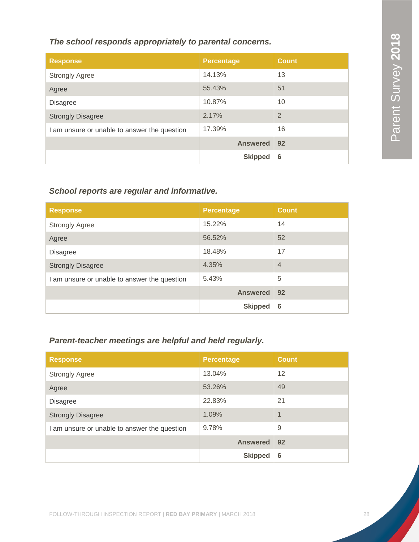### *The school responds appropriately to parental concerns.*

| <b>Response</b>                              | <b>Percentage</b> | <b>Count</b>   |
|----------------------------------------------|-------------------|----------------|
| <b>Strongly Agree</b>                        | 14.13%            | 13             |
| Agree                                        | 55.43%            | 51             |
| <b>Disagree</b>                              | 10.87%            | 10             |
| <b>Strongly Disagree</b>                     | 2.17%             | $\overline{2}$ |
| I am unsure or unable to answer the question | 17.39%            | 16             |
|                                              | <b>Answered</b>   | 92             |
|                                              | <b>Skipped</b>    | 6              |

### *School reports are regular and informative.*

| <b>Response</b>                              | <b>Percentage</b> | <b>Count</b>   |
|----------------------------------------------|-------------------|----------------|
| <b>Strongly Agree</b>                        | 15.22%            | 14             |
| Agree                                        | 56.52%            | 52             |
| <b>Disagree</b>                              | 18.48%            | 17             |
| <b>Strongly Disagree</b>                     | 4.35%             | $\overline{4}$ |
| I am unsure or unable to answer the question | 5.43%             | 5              |
|                                              | <b>Answered</b>   | 92             |
|                                              | <b>Skipped</b>    | 6              |

### *Parent-teacher meetings are helpful and held regularly.*

| <b>Response</b>                              | <b>Percentage</b> | <b>Count</b> |
|----------------------------------------------|-------------------|--------------|
| <b>Strongly Agree</b>                        | 13.04%            | 12           |
| Agree                                        | 53.26%            | 49           |
| <b>Disagree</b>                              | 22.83%            | 21           |
| <b>Strongly Disagree</b>                     | 1.09%             | 1            |
| I am unsure or unable to answer the question | 9.78%             | 9            |
|                                              | <b>Answered</b>   | 92           |
|                                              | <b>Skipped</b>    | 6            |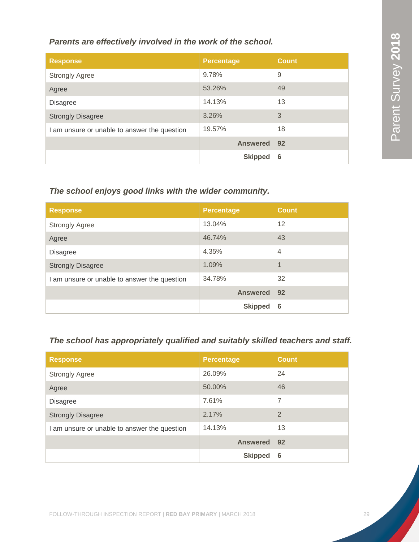### *Parents are effectively involved in the work of the school.*

| <b>Response</b>                              | <b>Percentage</b> | <b>Count</b> |
|----------------------------------------------|-------------------|--------------|
| <b>Strongly Agree</b>                        | 9.78%             | 9            |
| Agree                                        | 53.26%            | 49           |
| <b>Disagree</b>                              | 14.13%            | 13           |
| <b>Strongly Disagree</b>                     | 3.26%             | 3            |
| I am unsure or unable to answer the question | 19.57%            | 18           |
|                                              | <b>Answered</b>   | 92           |
|                                              | <b>Skipped</b>    | 6            |

### *The school enjoys good links with the wider community.*

| <b>Response</b>                              | <b>Percentage</b> | <b>Count</b>   |
|----------------------------------------------|-------------------|----------------|
| <b>Strongly Agree</b>                        | 13.04%            | 12             |
| Agree                                        | 46.74%            | 43             |
| <b>Disagree</b>                              | 4.35%             | $\overline{4}$ |
| <b>Strongly Disagree</b>                     | 1.09%             | 1              |
| I am unsure or unable to answer the question | 34.78%            | 32             |
|                                              | <b>Answered</b>   | 92             |
|                                              | <b>Skipped</b>    | 6              |

### *The school has appropriately qualified and suitably skilled teachers and staff.*

| <b>Response</b>                              | <b>Percentage</b> | <b>Count</b> |
|----------------------------------------------|-------------------|--------------|
| <b>Strongly Agree</b>                        | 26.09%            | 24           |
| Agree                                        | 50.00%            | 46           |
| <b>Disagree</b>                              | 7.61%             | 7            |
| <b>Strongly Disagree</b>                     | 2.17%             | 2            |
| I am unsure or unable to answer the question | 14.13%            | 13           |
|                                              | <b>Answered</b>   | 92           |
|                                              | <b>Skipped</b>    | 6            |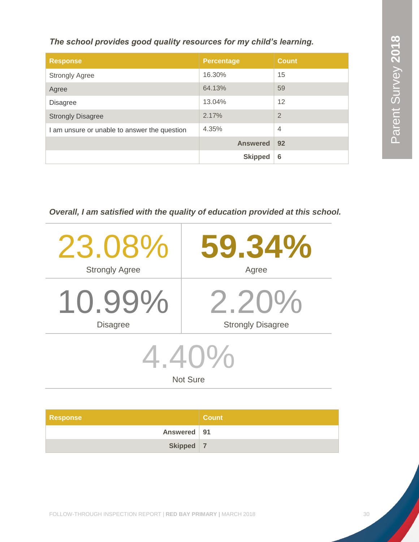*The school provides good quality resources for my child's learning.*

| <b>Response</b>                              | <b>Percentage</b> | <b>Count</b>   |
|----------------------------------------------|-------------------|----------------|
| <b>Strongly Agree</b>                        | 16.30%            | 15             |
| Agree                                        | 64.13%            | 59             |
| <b>Disagree</b>                              | 13.04%            | 12             |
| <b>Strongly Disagree</b>                     | 2.17%             | $\overline{2}$ |
| I am unsure or unable to answer the question | 4.35%             | $\overline{4}$ |
|                                              | <b>Answered</b>   | 92             |
|                                              | <b>Skipped</b>    | 6              |

*Overall, I am satisfied with the quality of education provided at this school.*

| 23.08%                      | 59.34%                   |  |
|-----------------------------|--------------------------|--|
| <b>Strongly Agree</b>       | Agree                    |  |
| $10.99\%$                   | $2.20\%$                 |  |
| <b>Disagree</b>             | <b>Strongly Disagree</b> |  |
| $4.40\%$<br><b>Not Sure</b> |                          |  |

| <b>Response</b> | <b>Count</b> |
|-----------------|--------------|
| Answered   91   |              |
| Skipped 7       |              |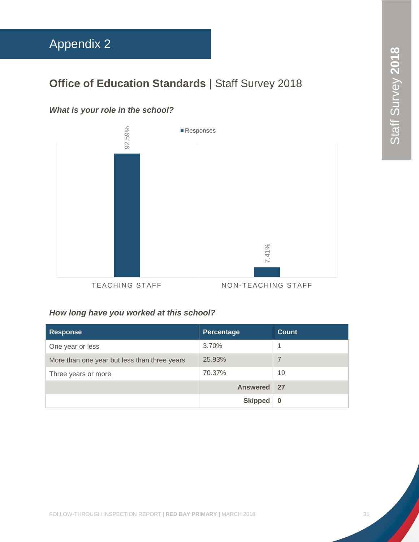# <span id="page-31-0"></span>Appendix 2

# **Office of Education Standards | Staff Survey 2018**

### *What is your role in the school?*



TEACHING STAFF NON-TEACHING STAFF

### *How long have you worked at this school?*

| <b>Response</b>                              | Percentage      | <b>Count</b> |
|----------------------------------------------|-----------------|--------------|
| One year or less                             | 3.70%           |              |
| More than one year but less than three years | 25.93%          | 7            |
| Three years or more                          | 70.37%          | 19           |
|                                              | <b>Answered</b> | 27           |
|                                              | <b>Skipped</b>  | $\bf{0}$     |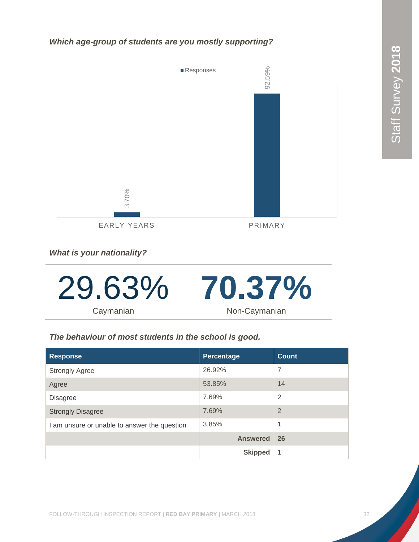*Which age-group of students are you mostly supporting?*



*What is your nationality?*



### *The behaviour of most students in the school is good.*

| <b>Response</b>                              | Percentage      | <b>Count</b>   |
|----------------------------------------------|-----------------|----------------|
| <b>Strongly Agree</b>                        | 26.92%          | $\overline{7}$ |
| Agree                                        | 53.85%          | 14             |
| <b>Disagree</b>                              | 7.69%           | $\overline{2}$ |
| <b>Strongly Disagree</b>                     | 7.69%           | $\overline{2}$ |
| I am unsure or unable to answer the question | 3.85%           | 1              |
|                                              | <b>Answered</b> | 26             |
|                                              | <b>Skipped</b>  | 1              |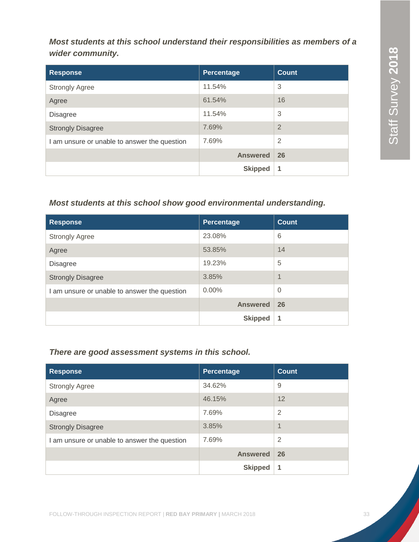*Most students at this school understand their responsibilities as members of a wider community.*

| <b>Response</b>                              | Percentage      | <b>Count</b>   |
|----------------------------------------------|-----------------|----------------|
| <b>Strongly Agree</b>                        | 11.54%          | 3              |
| Agree                                        | 61.54%          | 16             |
| <b>Disagree</b>                              | 11.54%          | 3              |
| <b>Strongly Disagree</b>                     | 7.69%           | $\overline{2}$ |
| I am unsure or unable to answer the question | 7.69%           | $\overline{2}$ |
|                                              | <b>Answered</b> | 26             |
|                                              | <b>Skipped</b>  | 1              |

### *Most students at this school show good environmental understanding.*

| <b>Response</b>                              | Percentage      | <b>Count</b>               |
|----------------------------------------------|-----------------|----------------------------|
| <b>Strongly Agree</b>                        | 23.08%          | 6                          |
| Agree                                        | 53.85%          | 14                         |
| <b>Disagree</b>                              | 19.23%          | 5                          |
| <b>Strongly Disagree</b>                     | 3.85%           | $\boldsymbol{\mathcal{A}}$ |
| I am unsure or unable to answer the question | $0.00\%$        | $\mathbf 0$                |
|                                              | <b>Answered</b> | 26                         |
|                                              | <b>Skipped</b>  | 1                          |

### *There are good assessment systems in this school.*

| <b>Response</b>                              | Percentage      | Count          |
|----------------------------------------------|-----------------|----------------|
| <b>Strongly Agree</b>                        | 34.62%          | 9              |
| Agree                                        | 46.15%          | 12             |
| <b>Disagree</b>                              | 7.69%           | $\overline{2}$ |
| <b>Strongly Disagree</b>                     | 3.85%           | $\overline{1}$ |
| I am unsure or unable to answer the question | 7.69%           | $\overline{2}$ |
|                                              | <b>Answered</b> | 26             |
|                                              | <b>Skipped</b>  | -1             |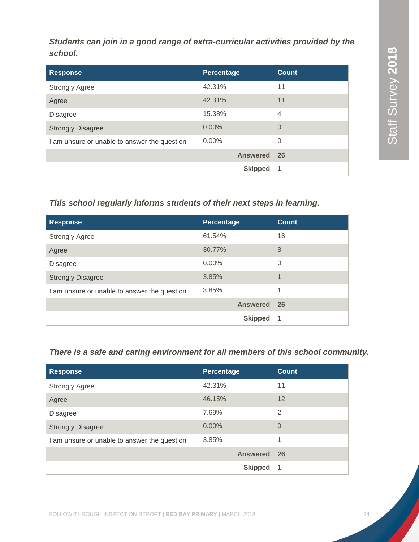*Students can join in a good range of extra-curricular activities provided by the school.*

| <b>Response</b>                              | Percentage      | <b>Count</b>   |
|----------------------------------------------|-----------------|----------------|
| <b>Strongly Agree</b>                        | 42.31%          | 11             |
| Agree                                        | 42.31%          | 11             |
| <b>Disagree</b>                              | 15.38%          | $\overline{4}$ |
| <b>Strongly Disagree</b>                     | 0.00%           | $\Omega$       |
| I am unsure or unable to answer the question | $0.00\%$        | $\overline{0}$ |
|                                              | <b>Answered</b> | 26             |
|                                              | <b>Skipped</b>  | 1              |

### *This school regularly informs students of their next steps in learning.*

| <b>Response</b>                              | Percentage      | <b>Count</b> |
|----------------------------------------------|-----------------|--------------|
| <b>Strongly Agree</b>                        | 61.54%          | 16           |
| Agree                                        | 30.77%          | 8            |
| <b>Disagree</b>                              | $0.00\%$        | $\Omega$     |
| <b>Strongly Disagree</b>                     | 3.85%           | 1            |
| I am unsure or unable to answer the question | 3.85%           | 1            |
|                                              | <b>Answered</b> | 26           |
|                                              | <b>Skipped</b>  | 1            |

### *There is a safe and caring environment for all members of this school community.*

| <b>Response</b>                              | Percentage      | <b>Count</b>   |
|----------------------------------------------|-----------------|----------------|
| <b>Strongly Agree</b>                        | 42.31%          | 11             |
| Agree                                        | 46.15%          | 12             |
| <b>Disagree</b>                              | 7.69%           | $\overline{2}$ |
| <b>Strongly Disagree</b>                     | 0.00%           | $\overline{0}$ |
| I am unsure or unable to answer the question | 3.85%           | 1              |
|                                              | <b>Answered</b> | 26             |
|                                              | <b>Skipped</b>  | 1              |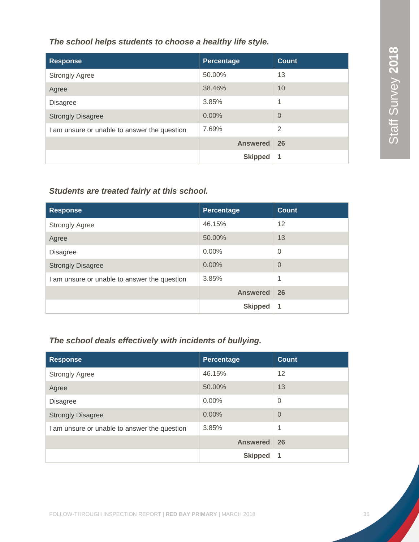*The school helps students to choose a healthy life style.*

| <b>Response</b>                              | Percentage      | <b>Count</b>   |
|----------------------------------------------|-----------------|----------------|
| <b>Strongly Agree</b>                        | 50.00%          | 13             |
| Agree                                        | 38.46%          | 10             |
| <b>Disagree</b>                              | 3.85%           | 1              |
| <b>Strongly Disagree</b>                     | 0.00%           | $\Omega$       |
| I am unsure or unable to answer the question | 7.69%           | $\overline{2}$ |
|                                              | <b>Answered</b> | 26             |
|                                              | <b>Skipped</b>  |                |

### *Students are treated fairly at this school.*

| <b>Response</b>                              | Percentage      | <b>Count</b>   |
|----------------------------------------------|-----------------|----------------|
| <b>Strongly Agree</b>                        | 46.15%          | 12             |
| Agree                                        | 50.00%          | 13             |
| <b>Disagree</b>                              | $0.00\%$        | $\overline{0}$ |
| <b>Strongly Disagree</b>                     | 0.00%           | $\overline{0}$ |
| I am unsure or unable to answer the question | 3.85%           | 1              |
|                                              | <b>Answered</b> | 26             |
|                                              | <b>Skipped</b>  | 1              |

### *The school deals effectively with incidents of bullying.*

| <b>Response</b>                              | <b>Percentage</b> | <b>Count</b>   |
|----------------------------------------------|-------------------|----------------|
| <b>Strongly Agree</b>                        | 46.15%            | 12             |
| Agree                                        | 50.00%            | 13             |
| <b>Disagree</b>                              | $0.00\%$          | $\overline{0}$ |
| <b>Strongly Disagree</b>                     | 0.00%             | $\Omega$       |
| I am unsure or unable to answer the question | 3.85%             | 1              |
|                                              | <b>Answered</b>   | 26             |
|                                              | <b>Skipped</b>    | 1              |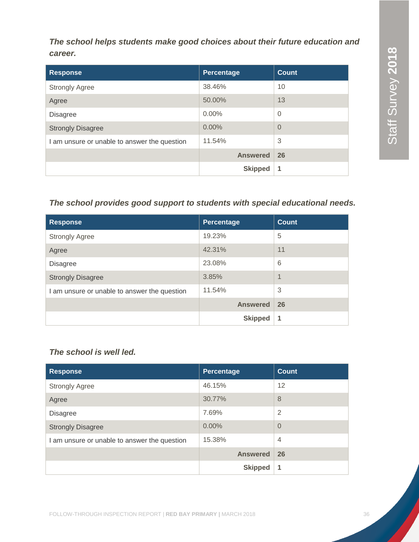*The school helps students make good choices about their future education and career.*

| <b>Response</b>                              | Percentage      | <b>Count</b>   |
|----------------------------------------------|-----------------|----------------|
| <b>Strongly Agree</b>                        | 38.46%          | 10             |
| Agree                                        | 50.00%          | 13             |
| <b>Disagree</b>                              | $0.00\%$        | $\overline{0}$ |
| <b>Strongly Disagree</b>                     | 0.00%           | $\Omega$       |
| I am unsure or unable to answer the question | 11.54%          | 3              |
|                                              | <b>Answered</b> | 26             |
|                                              | <b>Skipped</b>  | 1              |

### *The school provides good support to students with special educational needs.*

| <b>Response</b>                              | Percentage      | <b>Count</b> |
|----------------------------------------------|-----------------|--------------|
| <b>Strongly Agree</b>                        | 19.23%          | 5            |
| Agree                                        | 42.31%          | 11           |
| <b>Disagree</b>                              | 23.08%          | 6            |
| <b>Strongly Disagree</b>                     | 3.85%           | 1            |
| I am unsure or unable to answer the question | 11.54%          | 3            |
|                                              | <b>Answered</b> | 26           |
|                                              | <b>Skipped</b>  | 1            |

### *The school is well led.*

| <b>Response</b>                              | Percentage      | <b>Count</b>   |
|----------------------------------------------|-----------------|----------------|
| <b>Strongly Agree</b>                        | 46.15%          | 12             |
| Agree                                        | 30.77%          | 8              |
| <b>Disagree</b>                              | 7.69%           | $\overline{2}$ |
| <b>Strongly Disagree</b>                     | 0.00%           | $\overline{0}$ |
| I am unsure or unable to answer the question | 15.38%          | $\overline{4}$ |
|                                              | <b>Answered</b> | 26             |
|                                              | <b>Skipped</b>  | 1              |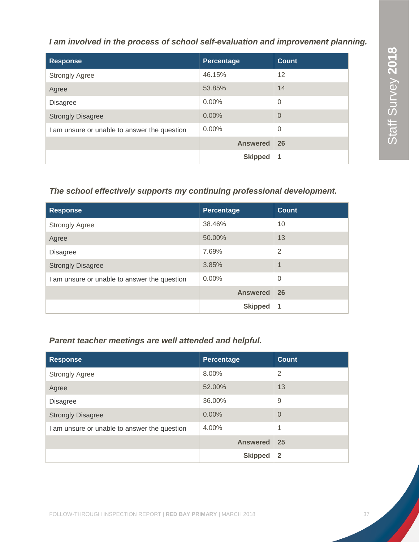### *I am involved in the process of school self-evaluation and improvement planning.*

| <b>Response</b>                              | Percentage      | Count          |
|----------------------------------------------|-----------------|----------------|
| <b>Strongly Agree</b>                        | 46.15%          | 12             |
| Agree                                        | 53.85%          | 14             |
| <b>Disagree</b>                              | $0.00\%$        | $\overline{0}$ |
| <b>Strongly Disagree</b>                     | 0.00%           | $\overline{0}$ |
| I am unsure or unable to answer the question | $0.00\%$        | $\Omega$       |
|                                              | <b>Answered</b> | 26             |
|                                              | <b>Skipped</b>  | 1              |

### *The school effectively supports my continuing professional development.*

| <b>Response</b>                              | Percentage      | <b>Count</b>   |
|----------------------------------------------|-----------------|----------------|
| <b>Strongly Agree</b>                        | 38.46%          | 10             |
| Agree                                        | 50.00%          | 13             |
| <b>Disagree</b>                              | 7.69%           | $\overline{2}$ |
| <b>Strongly Disagree</b>                     | 3.85%           | 1              |
| I am unsure or unable to answer the question | $0.00\%$        | $\Omega$       |
|                                              | <b>Answered</b> | 26             |
|                                              | <b>Skipped</b>  | 1              |

### *Parent teacher meetings are well attended and helpful.*

| <b>Response</b>                              | Percentage      | Count        |
|----------------------------------------------|-----------------|--------------|
| <b>Strongly Agree</b>                        | 8.00%           | 2            |
| Agree                                        | 52.00%          | 13           |
| <b>Disagree</b>                              | 36.00%          | 9            |
| <b>Strongly Disagree</b>                     | 0.00%           | $\Omega$     |
| I am unsure or unable to answer the question | 4.00%           | 1            |
|                                              | <b>Answered</b> | 25           |
|                                              | <b>Skipped</b>  | $\mathbf{2}$ |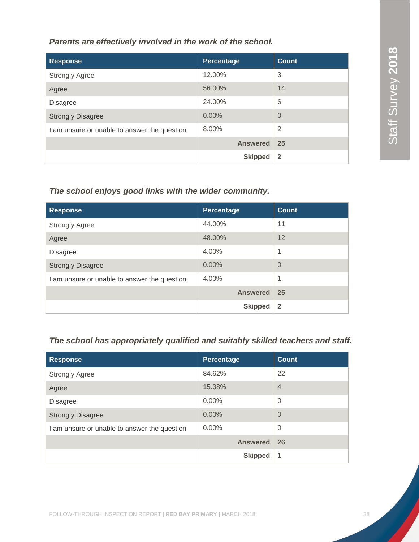*Parents are effectively involved in the work of the school.*

| <b>Response</b>                              | Percentage      | <b>Count</b>   |
|----------------------------------------------|-----------------|----------------|
| <b>Strongly Agree</b>                        | 12.00%          | 3              |
| Agree                                        | 56.00%          | 14             |
| <b>Disagree</b>                              | 24.00%          | 6              |
| <b>Strongly Disagree</b>                     | $0.00\%$        | $\Omega$       |
| I am unsure or unable to answer the question | 8.00%           | $\overline{2}$ |
|                                              | <b>Answered</b> | 25             |
|                                              | <b>Skipped</b>  | $\mathbf{2}$   |

### *The school enjoys good links with the wider community.*

| <b>Response</b>                              | Percentage      | <b>Count</b>   |
|----------------------------------------------|-----------------|----------------|
| <b>Strongly Agree</b>                        | 44.00%          | 11             |
| Agree                                        | 48.00%          | 12             |
| <b>Disagree</b>                              | 4.00%           | 1              |
| <b>Strongly Disagree</b>                     | 0.00%           | $\Omega$       |
| I am unsure or unable to answer the question | 4.00%           | 1              |
|                                              | <b>Answered</b> | 25             |
|                                              | <b>Skipped</b>  | $\overline{2}$ |

### *The school has appropriately qualified and suitably skilled teachers and staff.*

| <b>Response</b>                              | Percentage      | <b>Count</b>   |
|----------------------------------------------|-----------------|----------------|
| <b>Strongly Agree</b>                        | 84.62%          | 22             |
| Agree                                        | 15.38%          | $\overline{4}$ |
| <b>Disagree</b>                              | $0.00\%$        | $\overline{0}$ |
| <b>Strongly Disagree</b>                     | 0.00%           | $\overline{0}$ |
| I am unsure or unable to answer the question | $0.00\%$        | $\overline{0}$ |
|                                              | <b>Answered</b> | 26             |
|                                              | <b>Skipped</b>  | 1              |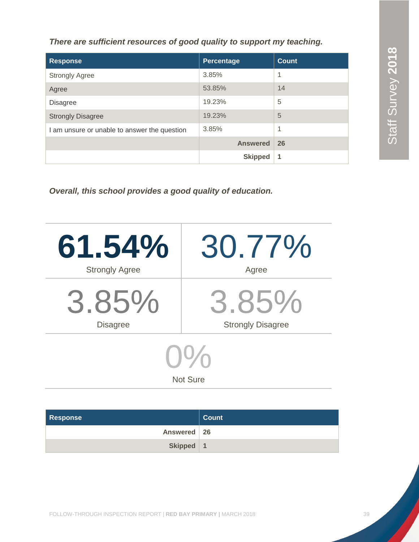Staff Survey 2018 Staff Survey **2018** Staff Survey **2018**

*There are sufficient resources of good quality to support my teaching.*

| <b>Response</b>                              | Percentage      | <b>Count</b> |
|----------------------------------------------|-----------------|--------------|
| <b>Strongly Agree</b>                        | 3.85%           | 1            |
| Agree                                        | 53.85%          | 14           |
| <b>Disagree</b>                              | 19.23%          | 5            |
| <b>Strongly Disagree</b>                     | 19.23%          | 5            |
| I am unsure or unable to answer the question | 3.85%           | 1            |
|                                              | <b>Answered</b> | 26           |
|                                              | <b>Skipped</b>  | 1            |

*Overall, this school provides a good quality of education.*

| 61.54%                | 30.77%                   |  |
|-----------------------|--------------------------|--|
| <b>Strongly Agree</b> | Agree                    |  |
| 3.85%                 | 3.85%                    |  |
| <b>Disagree</b>       | <b>Strongly Disagree</b> |  |
| <b>Not Sure</b>       |                          |  |

| <b>Response</b> | <b>Count</b>     |
|-----------------|------------------|
| Answered   26   |                  |
| Skipped         | $\blacksquare$ 1 |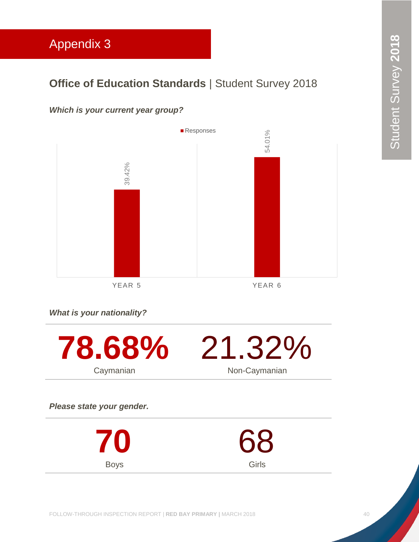# <span id="page-40-0"></span>Appendix 3

### **Office of Education Standards | Student Survey 2018**

### *Which is your current year group?*



Girls

*What is your nationality?*

Boys



FOLLOW-THROUGH INSPECTION REPORT | **RED BAY PRIMARY |** MARCH 2018 40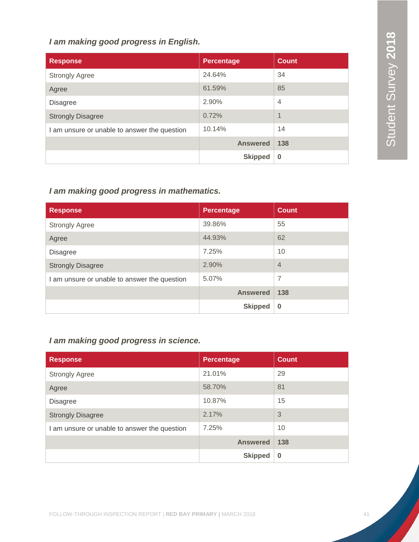### *I am making good progress in English.*

| <b>Response</b>                              | <b>Percentage</b> | <b>Count</b>   |
|----------------------------------------------|-------------------|----------------|
| <b>Strongly Agree</b>                        | 24.64%            | 34             |
| Agree                                        | 61.59%            | 85             |
| <b>Disagree</b>                              | 2.90%             | $\overline{4}$ |
| <b>Strongly Disagree</b>                     | 0.72%             | $\overline{A}$ |
| I am unsure or unable to answer the question | 10.14%            | 14             |
|                                              | <b>Answered</b>   | 138            |
|                                              | <b>Skipped</b>    | $\bf{0}$       |

### *I am making good progress in mathematics.*

| <b>Response</b>                              | <b>Percentage</b> | <b>Count</b>   |
|----------------------------------------------|-------------------|----------------|
| <b>Strongly Agree</b>                        | 39.86%            | 55             |
| Agree                                        | 44.93%            | 62             |
| <b>Disagree</b>                              | 7.25%             | 10             |
| <b>Strongly Disagree</b>                     | 2.90%             | $\overline{4}$ |
| I am unsure or unable to answer the question | 5.07%             | $\overline{7}$ |
|                                              | <b>Answered</b>   | 138            |
|                                              | <b>Skipped</b>    | $\bf{0}$       |

### *I am making good progress in science.*

| <b>Response</b>                              | <b>Percentage</b> | <b>Count</b> |
|----------------------------------------------|-------------------|--------------|
| <b>Strongly Agree</b>                        | 21.01%            | 29           |
| Agree                                        | 58.70%            | 81           |
| <b>Disagree</b>                              | 10.87%            | 15           |
| <b>Strongly Disagree</b>                     | 2.17%             | 3            |
| I am unsure or unable to answer the question | 7.25%             | 10           |
|                                              | <b>Answered</b>   | 138          |
|                                              | <b>Skipped</b>    | $\bf{0}$     |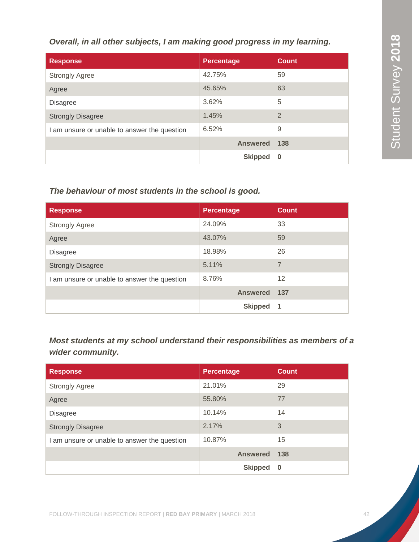*Overall, in all other subjects, I am making good progress in my learning.*

| <b>Response</b>                              | <b>Percentage</b> | <b>Count</b>   |
|----------------------------------------------|-------------------|----------------|
| <b>Strongly Agree</b>                        | 42.75%            | 59             |
| Agree                                        | 45.65%            | 63             |
| <b>Disagree</b>                              | 3.62%             | 5              |
| <b>Strongly Disagree</b>                     | 1.45%             | $\overline{2}$ |
| I am unsure or unable to answer the question | 6.52%             | 9              |
|                                              | <b>Answered</b>   | 138            |
|                                              | <b>Skipped</b>    | $\bf{0}$       |

### *The behaviour of most students in the school is good.*

| <b>Response</b>                              | <b>Percentage</b> | <b>Count</b>   |
|----------------------------------------------|-------------------|----------------|
| <b>Strongly Agree</b>                        | 24.09%            | 33             |
| Agree                                        | 43.07%            | 59             |
| <b>Disagree</b>                              | 18.98%            | 26             |
| <b>Strongly Disagree</b>                     | 5.11%             | $\overline{7}$ |
| I am unsure or unable to answer the question | 8.76%             | 12             |
|                                              | <b>Answered</b>   | 137            |
|                                              | <b>Skipped</b>    | 1              |

*Most students at my school understand their responsibilities as members of a wider community.*

| <b>Response</b>                            | <b>Percentage</b> | <b>Count</b> |
|--------------------------------------------|-------------------|--------------|
| <b>Strongly Agree</b>                      | 21.01%            | 29           |
| Agree                                      | 55.80%            | 77           |
| <b>Disagree</b>                            | 10.14%            | 14           |
| <b>Strongly Disagree</b>                   | 2.17%             | 3            |
| am unsure or unable to answer the question | 10.87%            | 15           |
|                                            | <b>Answered</b>   | 138          |
|                                            | <b>Skipped</b>    | $\bf{0}$     |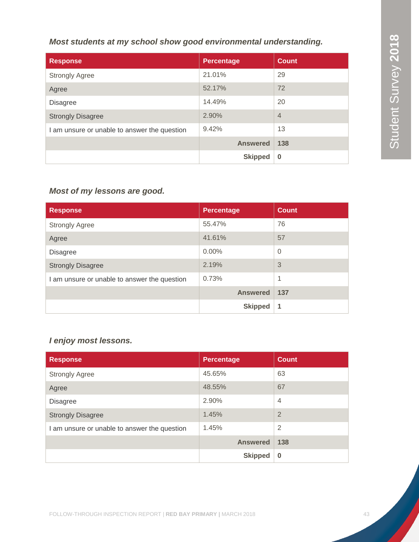### *Most students at my school show good environmental understanding.*

| <b>Response</b>                              | <b>Percentage</b> | <b>Count</b>   |
|----------------------------------------------|-------------------|----------------|
| <b>Strongly Agree</b>                        | 21.01%            | 29             |
| Agree                                        | 52.17%            | 72             |
| <b>Disagree</b>                              | 14.49%            | 20             |
| <b>Strongly Disagree</b>                     | 2.90%             | $\overline{4}$ |
| I am unsure or unable to answer the question | 9.42%             | 13             |
|                                              | <b>Answered</b>   | 138            |
|                                              | <b>Skipped</b>    | $\bf{0}$       |

### *Most of my lessons are good.*

| <b>Response</b>                              | <b>Percentage</b> | <b>Count</b>   |
|----------------------------------------------|-------------------|----------------|
| <b>Strongly Agree</b>                        | 55.47%            | 76             |
| Agree                                        | 41.61%            | 57             |
| <b>Disagree</b>                              | $0.00\%$          | $\overline{0}$ |
| <b>Strongly Disagree</b>                     | 2.19%             | 3              |
| I am unsure or unable to answer the question | 0.73%             | 1              |
|                                              | <b>Answered</b>   | 137            |
|                                              | <b>Skipped</b>    | 1              |

### *I enjoy most lessons.*

| <b>Response</b>                              | <b>Percentage</b> | <b>Count</b>   |
|----------------------------------------------|-------------------|----------------|
| <b>Strongly Agree</b>                        | 45.65%            | 63             |
| Agree                                        | 48.55%            | 67             |
| <b>Disagree</b>                              | 2.90%             | $\overline{4}$ |
| <b>Strongly Disagree</b>                     | 1.45%             | $\overline{2}$ |
| I am unsure or unable to answer the question | 1.45%             | $\overline{2}$ |
|                                              | <b>Answered</b>   | 138            |
|                                              | <b>Skipped</b>    | $\bf{0}$       |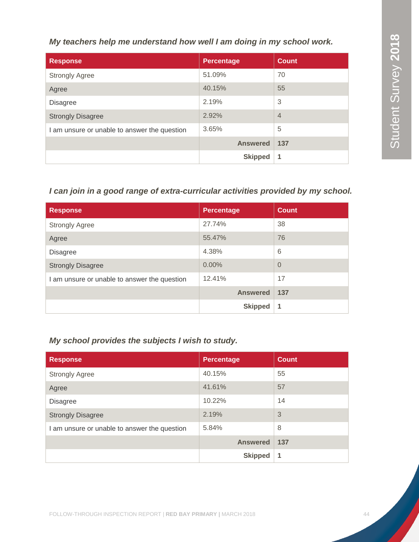*My teachers help me understand how well I am doing in my school work.*

| <b>Response</b>                              | Percentage      | <b>Count</b>   |
|----------------------------------------------|-----------------|----------------|
| <b>Strongly Agree</b>                        | 51.09%          | 70             |
| Agree                                        | 40.15%          | 55             |
| <b>Disagree</b>                              | 2.19%           | 3              |
| <b>Strongly Disagree</b>                     | 2.92%           | $\overline{4}$ |
| I am unsure or unable to answer the question | 3.65%           | 5              |
|                                              | <b>Answered</b> | 137            |
|                                              | <b>Skipped</b>  | 1              |

### *I can join in a good range of extra-curricular activities provided by my school.*

| <b>Response</b>                              | <b>Percentage</b> | <b>Count</b>   |
|----------------------------------------------|-------------------|----------------|
| <b>Strongly Agree</b>                        | 27.74%            | 38             |
| Agree                                        | 55.47%            | 76             |
| <b>Disagree</b>                              | 4.38%             | 6              |
| <b>Strongly Disagree</b>                     | 0.00%             | $\overline{0}$ |
| I am unsure or unable to answer the question | 12.41%            | 17             |
|                                              | <b>Answered</b>   | 137            |
|                                              | <b>Skipped</b>    | 1              |

### *My school provides the subjects I wish to study.*

| <b>Response</b>                              | <b>Percentage</b> | <b>Count</b> |
|----------------------------------------------|-------------------|--------------|
| <b>Strongly Agree</b>                        | 40.15%            | 55           |
| Agree                                        | 41.61%            | 57           |
| <b>Disagree</b>                              | 10.22%            | 14           |
| <b>Strongly Disagree</b>                     | 2.19%             | 3            |
| I am unsure or unable to answer the question | 5.84%             | 8            |
|                                              | <b>Answered</b>   | 137          |
|                                              | <b>Skipped</b>    | 1            |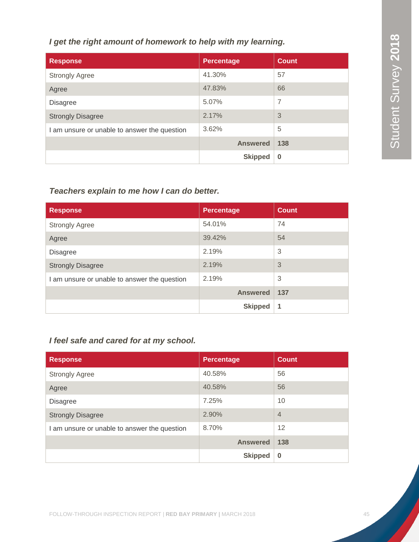### *I get the right amount of homework to help with my learning.*

| <b>Response</b>                              | <b>Percentage</b> | <b>Count</b> |
|----------------------------------------------|-------------------|--------------|
| <b>Strongly Agree</b>                        | 41.30%            | 57           |
| Agree                                        | 47.83%            | 66           |
| <b>Disagree</b>                              | 5.07%             | 7            |
| <b>Strongly Disagree</b>                     | 2.17%             | 3            |
| I am unsure or unable to answer the question | 3.62%             | 5            |
|                                              | <b>Answered</b>   | 138          |
|                                              | <b>Skipped</b>    | $\bf{0}$     |

### *Teachers explain to me how I can do better.*

| <b>Response</b>                              | <b>Percentage</b> | <b>Count</b> |
|----------------------------------------------|-------------------|--------------|
| <b>Strongly Agree</b>                        | 54.01%            | 74           |
| Agree                                        | 39.42%            | 54           |
| <b>Disagree</b>                              | 2.19%             | 3            |
| <b>Strongly Disagree</b>                     | 2.19%             | 3            |
| I am unsure or unable to answer the question | 2.19%             | 3            |
|                                              | <b>Answered</b>   | 137          |
|                                              | <b>Skipped</b>    | 1            |

### *I feel safe and cared for at my school.*

| <b>Response</b>                              | <b>Percentage</b> | <b>Count</b>   |
|----------------------------------------------|-------------------|----------------|
| <b>Strongly Agree</b>                        | 40.58%            | 56             |
| Agree                                        | 40.58%            | 56             |
| <b>Disagree</b>                              | 7.25%             | 10             |
| <b>Strongly Disagree</b>                     | 2.90%             | $\overline{4}$ |
| I am unsure or unable to answer the question | 8.70%             | 12             |
|                                              | <b>Answered</b>   | 138            |
|                                              | <b>Skipped</b>    | $\bf{0}$       |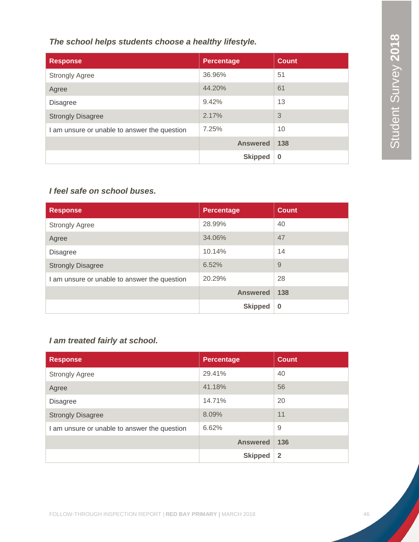*The school helps students choose a healthy lifestyle.*

| <b>Response</b>                              | <b>Percentage</b> | <b>Count</b> |
|----------------------------------------------|-------------------|--------------|
| <b>Strongly Agree</b>                        | 36.96%            | 51           |
| Agree                                        | 44.20%            | 61           |
| <b>Disagree</b>                              | 9.42%             | 13           |
| <b>Strongly Disagree</b>                     | 2.17%             | 3            |
| I am unsure or unable to answer the question | 7.25%             | 10           |
|                                              | <b>Answered</b>   | 138          |
|                                              | <b>Skipped</b>    | $\bf{0}$     |

### *I feel safe on school buses.*

| <b>Response</b>                              | <b>Percentage</b> | <b>Count</b> |
|----------------------------------------------|-------------------|--------------|
| <b>Strongly Agree</b>                        | 28.99%            | 40           |
| Agree                                        | 34.06%            | 47           |
| <b>Disagree</b>                              | 10.14%            | 14           |
| <b>Strongly Disagree</b>                     | 6.52%             | 9            |
| I am unsure or unable to answer the question | 20.29%            | 28           |
|                                              | <b>Answered</b>   | 138          |
|                                              | <b>Skipped</b>    | $\bf{0}$     |

### *I am treated fairly at school.*

| <b>Response</b>                              | <b>Percentage</b> | <b>Count</b>   |
|----------------------------------------------|-------------------|----------------|
| <b>Strongly Agree</b>                        | 29.41%            | 40             |
| Agree                                        | 41.18%            | 56             |
| <b>Disagree</b>                              | 14.71%            | 20             |
| <b>Strongly Disagree</b>                     | 8.09%             | 11             |
| I am unsure or unable to answer the question | 6.62%             | 9              |
|                                              | <b>Answered</b>   | 136            |
|                                              | <b>Skipped</b>    | $\overline{2}$ |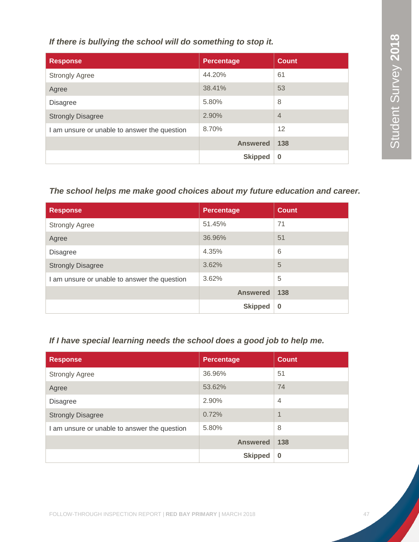*If there is bullying the school will do something to stop it.*

| <b>Response</b>                              | <b>Percentage</b> | <b>Count</b>   |
|----------------------------------------------|-------------------|----------------|
| <b>Strongly Agree</b>                        | 44.20%            | 61             |
| Agree                                        | 38.41%            | 53             |
| <b>Disagree</b>                              | 5.80%             | 8              |
| <b>Strongly Disagree</b>                     | 2.90%             | $\overline{4}$ |
| I am unsure or unable to answer the question | 8.70%             | 12             |
|                                              | <b>Answered</b>   | 138            |
|                                              | <b>Skipped</b>    | $\bf{0}$       |

### *The school helps me make good choices about my future education and career.*

| <b>Response</b>                              | <b>Percentage</b> | <b>Count</b> |
|----------------------------------------------|-------------------|--------------|
| <b>Strongly Agree</b>                        | 51.45%            | 71           |
| Agree                                        | 36.96%            | 51           |
| <b>Disagree</b>                              | 4.35%             | 6            |
| <b>Strongly Disagree</b>                     | 3.62%             | 5            |
| I am unsure or unable to answer the question | 3.62%             | 5            |
|                                              | <b>Answered</b>   | 138          |
|                                              | <b>Skipped</b>    | $\bf{0}$     |

### *If I have special learning needs the school does a good job to help me.*

| <b>Response</b>                              | <b>Percentage</b> | <b>Count</b>   |
|----------------------------------------------|-------------------|----------------|
| <b>Strongly Agree</b>                        | 36.96%            | 51             |
| Agree                                        | 53.62%            | 74             |
| <b>Disagree</b>                              | 2.90%             | $\overline{4}$ |
| <b>Strongly Disagree</b>                     | 0.72%             | $\overline{1}$ |
| I am unsure or unable to answer the question | 5.80%             | 8              |
|                                              | <b>Answered</b>   | 138            |
|                                              | <b>Skipped</b>    | $\bf{0}$       |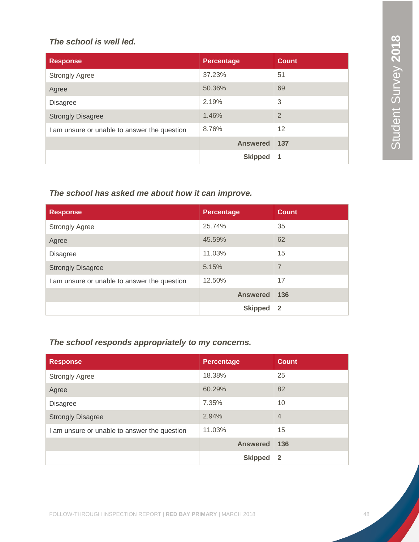### *The school is well led.*

| <b>Response</b>                              | Percentage      | <b>Count</b>   |
|----------------------------------------------|-----------------|----------------|
| <b>Strongly Agree</b>                        | 37.23%          | 51             |
| Agree                                        | 50.36%          | 69             |
| <b>Disagree</b>                              | 2.19%           | 3              |
| <b>Strongly Disagree</b>                     | 1.46%           | $\overline{2}$ |
| I am unsure or unable to answer the question | 8.76%           | 12             |
|                                              | <b>Answered</b> | 137            |
|                                              | <b>Skipped</b>  | 1              |

### *The school has asked me about how it can improve.*

| <b>Response</b>                              | <b>Percentage</b> | <b>Count</b>   |
|----------------------------------------------|-------------------|----------------|
| <b>Strongly Agree</b>                        | 25.74%            | 35             |
| Agree                                        | 45.59%            | 62             |
| <b>Disagree</b>                              | 11.03%            | 15             |
| <b>Strongly Disagree</b>                     | 5.15%             | $\overline{7}$ |
| I am unsure or unable to answer the question | 12.50%            | 17             |
|                                              | <b>Answered</b>   | 136            |
|                                              | <b>Skipped</b>    | $\overline{2}$ |

### *The school responds appropriately to my concerns.*

| <b>Response</b>                              | <b>Percentage</b> | <b>Count</b>   |
|----------------------------------------------|-------------------|----------------|
| <b>Strongly Agree</b>                        | 18.38%            | 25             |
| Agree                                        | 60.29%            | 82             |
| <b>Disagree</b>                              | 7.35%             | 10             |
| <b>Strongly Disagree</b>                     | 2.94%             | $\overline{4}$ |
| I am unsure or unable to answer the question | 11.03%            | 15             |
|                                              | <b>Answered</b>   | 136            |
|                                              | <b>Skipped</b>    | $\mathbf{2}$   |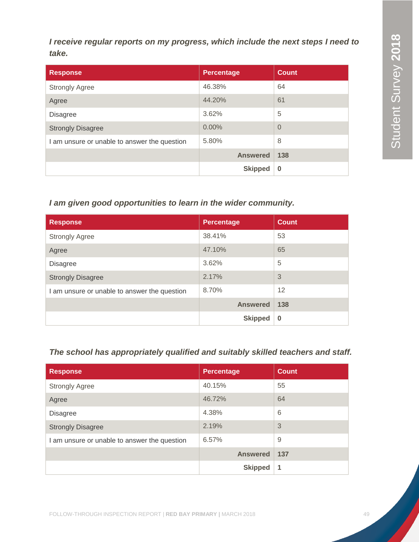*I receive regular reports on my progress, which include the next steps I need to take.*

| <b>Response</b>                              | <b>Percentage</b> | <b>Count</b>   |
|----------------------------------------------|-------------------|----------------|
| <b>Strongly Agree</b>                        | 46.38%            | 64             |
| Agree                                        | 44.20%            | 61             |
| <b>Disagree</b>                              | 3.62%             | 5              |
| <b>Strongly Disagree</b>                     | 0.00%             | $\overline{0}$ |
| I am unsure or unable to answer the question | 5.80%             | 8              |
|                                              | <b>Answered</b>   | 138            |
|                                              | <b>Skipped</b>    | $\bf{0}$       |

### *I am given good opportunities to learn in the wider community.*

| <b>Response</b>                              | <b>Percentage</b> | <b>Count</b> |
|----------------------------------------------|-------------------|--------------|
| <b>Strongly Agree</b>                        | 38.41%            | 53           |
| Agree                                        | 47.10%            | 65           |
| <b>Disagree</b>                              | 3.62%             | 5            |
| <b>Strongly Disagree</b>                     | 2.17%             | 3            |
| I am unsure or unable to answer the question | 8.70%             | 12           |
|                                              | <b>Answered</b>   | 138          |
|                                              | <b>Skipped</b>    | $\bf{0}$     |

### *The school has appropriately qualified and suitably skilled teachers and staff.*

| <b>Response</b>                              | <b>Percentage</b> | <b>Count</b> |
|----------------------------------------------|-------------------|--------------|
| <b>Strongly Agree</b>                        | 40.15%            | 55           |
| Agree                                        | 46.72%            | 64           |
| <b>Disagree</b>                              | 4.38%             | 6            |
| <b>Strongly Disagree</b>                     | 2.19%             | 3            |
| I am unsure or unable to answer the question | 6.57%             | 9            |
|                                              | <b>Answered</b>   | 137          |
|                                              | <b>Skipped</b>    | 1            |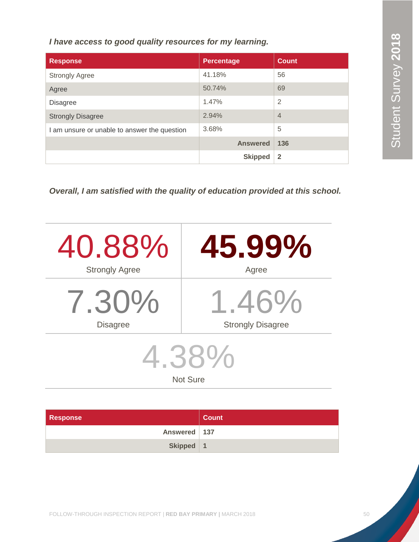*I have access to good quality resources for my learning.*

| <b>Response</b>                              | <b>Percentage</b> | <b>Count</b>   |
|----------------------------------------------|-------------------|----------------|
| <b>Strongly Agree</b>                        | 41.18%            | 56             |
| Agree                                        | 50.74%            | 69             |
| <b>Disagree</b>                              | 1.47%             | $\overline{2}$ |
| <b>Strongly Disagree</b>                     | 2.94%             | $\overline{4}$ |
| I am unsure or unable to answer the question | 3.68%             | 5              |
|                                              | <b>Answered</b>   | 136            |
|                                              | <b>Skipped</b>    | $\overline{2}$ |

*Overall, I am satisfied with the quality of education provided at this school.*

| 40.88%                   | 45.99%                   |  |  |
|--------------------------|--------------------------|--|--|
| <b>Strongly Agree</b>    | Agree                    |  |  |
| 7.30%                    | 1.46%                    |  |  |
| <b>Disagree</b>          | <b>Strongly Disagree</b> |  |  |
| 4.38%<br><b>Not Sure</b> |                          |  |  |

| <b>Response</b> | Count |
|-----------------|-------|
| Answered   137  |       |
| Skipped   1     |       |